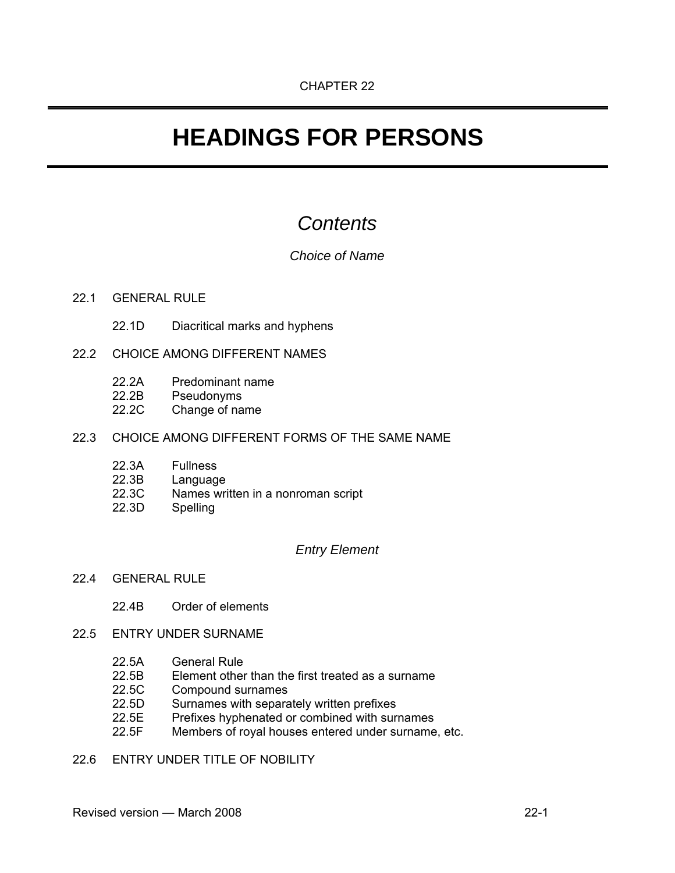# **HEADINGS FOR PERSONS**

## *Contents*

## *Choice of Name*

#### 22.1 GENERAL RULE

- 22.1D Diacritical marks and hyphens
- 22.2 CHOICE AMONG DIFFERENT NAMES
	- 22.2A Predominant name
	- 22.2B Pseudonyms
	- 22.2C Change of name

#### 22.3 CHOICE AMONG DIFFERENT FORMS OF THE SAME NAME

- 22.3A Fullness<br>22.3B Languag
- Language
- 22.3C Names written in a nonroman script
- 22.3D Spelling

#### *Entry Element*

- 22.4 GENERAL RULE
	- 22.4B Order of elements
- 22.5 ENTRY UNDER SURNAME
	- 22.5A General Rule
	- 22.5B Element other than the first treated as a surname
	- 22.5C Compound surnames
	- 22.5D Surnames with separately written prefixes
	- 22.5E Prefixes hyphenated or combined with surnames
	- 22.5F Members of royal houses entered under surname, etc.
- 22.6 ENTRY UNDER TITLE OF NOBILITY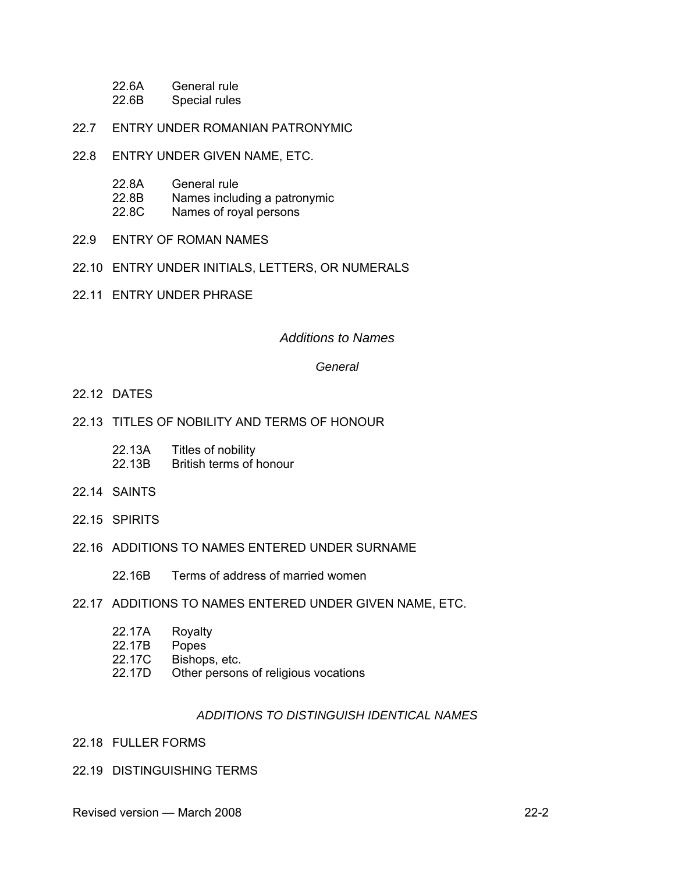- 22.6A General rule
- 22.6B Special rules
- 22.7 ENTRY UNDER ROMANIAN PATRONYMIC
- 22.8 ENTRY UNDER GIVEN NAME, ETC.
	- 22.8A General rule
	- 22.8B Names including a patronymic
	- 22.8C Names of royal persons
- 22.9 ENTRY OF ROMAN NAMES
- 22.10 ENTRY UNDER INITIALS, LETTERS, OR NUMERALS
- 22.11 ENTRY UNDER PHRASE

#### *Additions to Names*

*General* 

- 22.12 DATES
- 22.13 TITLES OF NOBILITY AND TERMS OF HONOUR
	- 22.13A Titles of nobility
	- 22.13B British terms of honour
- 22.14 SAINTS
- 22.15 SPIRITS
- 22.16 ADDITIONS TO NAMES ENTERED UNDER SURNAME
	- 22.16B Terms of address of married women
- 22.17 ADDITIONS TO NAMES ENTERED UNDER GIVEN NAME, ETC.
	- 22.17A Royalty
	- 22.17B Popes
	- 22.17C Bishops, etc.
	- 22.17D Other persons of religious vocations

#### *ADDITIONS TO DISTINGUISH IDENTICAL NAMES*

- 22.18 FULLER FORMS
- 22.19 DISTINGUISHING TERMS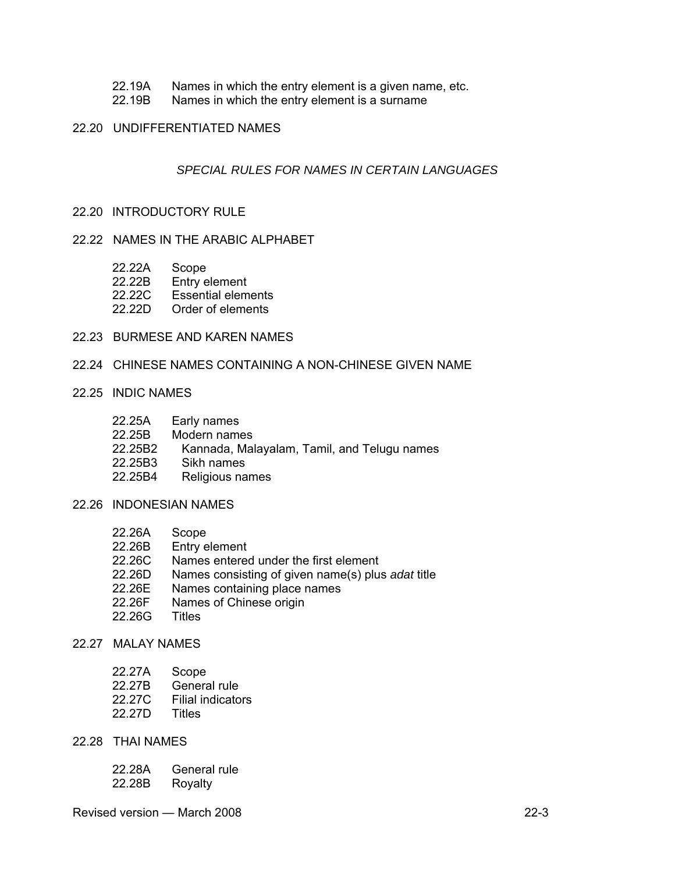- 22.19A Names in which the entry element is a given name, etc.
- 22.19B Names in which the entry element is a surname

#### 22.20 UNDIFFERENTIATED NAMES

#### *SPECIAL RULES FOR NAMES IN CERTAIN LANGUAGES*

#### 22.20 INTRODUCTORY RULE

#### 22.22 NAMES IN THE ARABIC ALPHABET

- 22.22A Scope
- 22.22B Entry element
- 22.22C Essential elements
- 22.22D Order of elements
- 22.23 BURMESE AND KAREN NAMES
- 22.24 CHINESE NAMES CONTAINING A NON-CHINESE GIVEN NAME
- 22.25 INDIC NAMES
	- 22.25A Early names
	- 22.25B Modern names
	- 22.25B2 Kannada, Malayalam, Tamil, and Telugu names
	- 22.25B3 Sikh names
	- 22.25B4 Religious names
- 22.26 INDONESIAN NAMES
	- 22.26A Scope<br>22.26B Entry e
	- Entry element
	- 22.26C Names entered under the first element
	- 22.26D Names consisting of given name(s) plus *adat* title
	- 22.26E Names containing place names
	- 22.26F Names of Chinese origin
	- 22.26G Titles

#### 22.27 MALAY NAMES

- 22.27A Scope
- 22.27B General rule
- 22.27C Filial indicators
- 22.27D Titles

#### 22.28 THAI NAMES

22.28A General rule

22.28B Royalty

Revised version — March 2008 22-3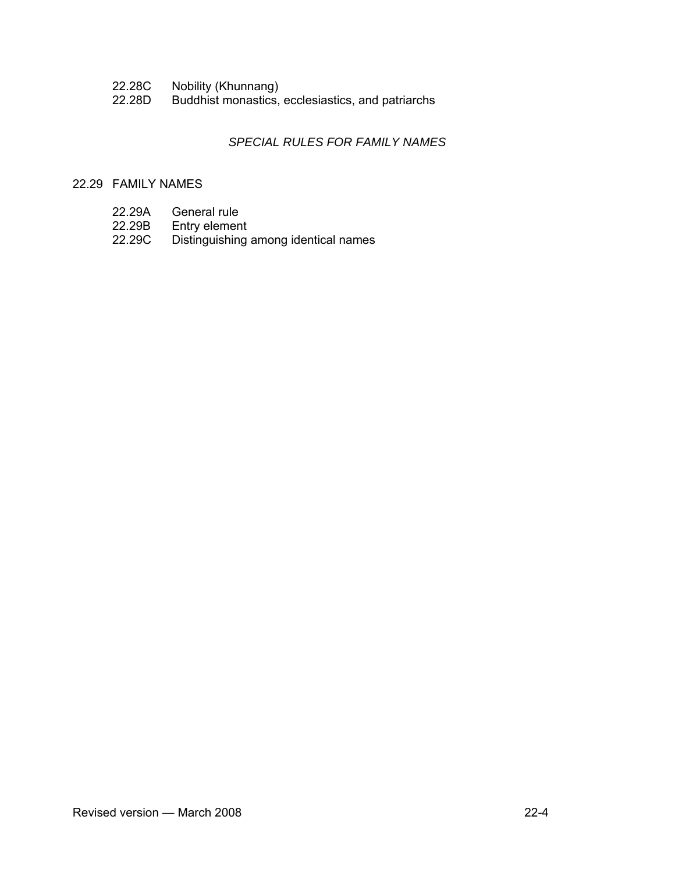22.28C Nobility (Khunnang) 22.28D Buddhist monastics, ecclesiastics, and patriarchs

## *SPECIAL RULES FOR FAMILY NAMES*

#### 22.29 FAMILY NAMES

- 22.29A General rule
- 22.29B Entry element<br>22.29C Distinguishing
- Distinguishing among identical names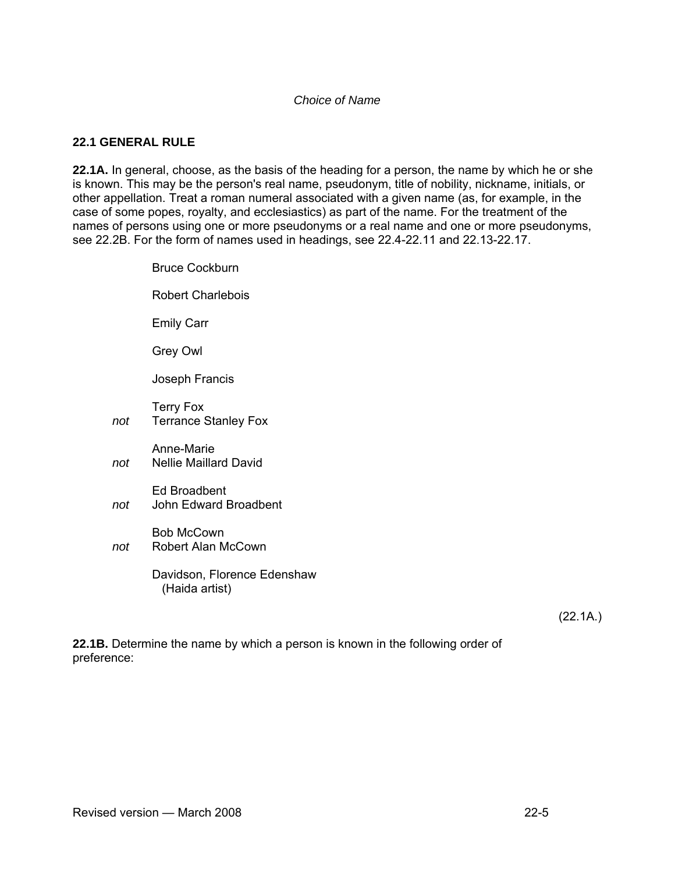#### *Choice of Name*

#### **22.1 GENERAL RULE**

**22.1A.** In general, choose, as the basis of the heading for a person, the name by which he or she is known. This may be the person's real name, pseudonym, title of nobility, nickname, initials, or other appellation. Treat a roman numeral associated with a given name (as, for example, in the case of some popes, royalty, and ecclesiastics) as part of the name. For the treatment of the names of persons using one or more pseudonyms or a real name and one or more pseudonyms, see 22.2B. For the form of names used in headings, see 22.4-22.11 and 22.13-22.17.

- Bruce Cockburn Robert Charlebois Emily Carr Grey Owl Joseph Francis Terry Fox
- *not* Terrance Stanley Fox
- Anne-Marie *not* Nellie Maillard David
- Ed Broadbent *not* John Edward Broadbent
- Bob McCown *not* Robert Alan McCown
	- Davidson, Florence Edenshaw (Haida artist)

(22.1A.)

**22.1B.** Determine the name by which a person is known in the following order of preference: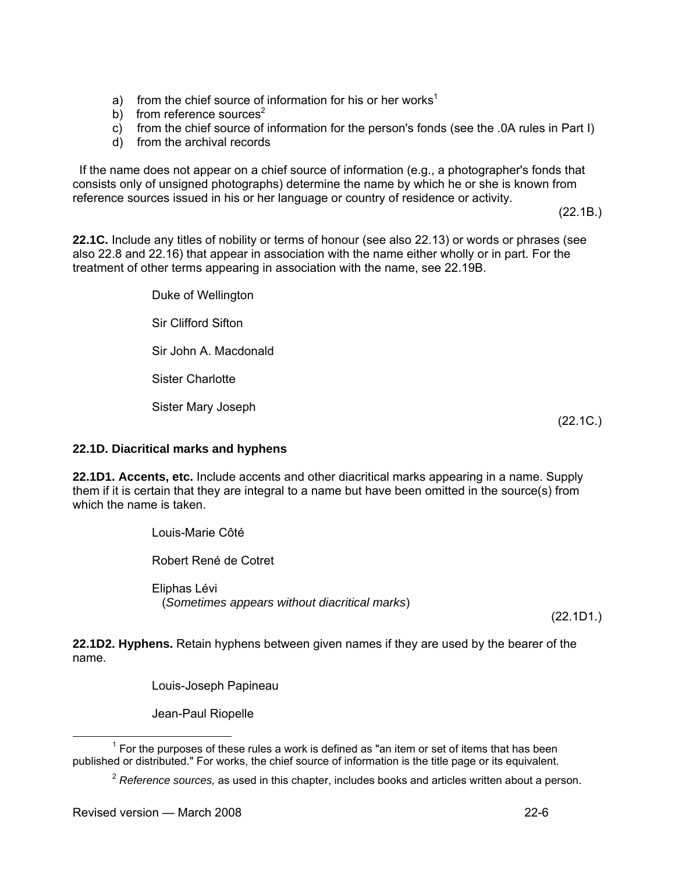- a) from the chief source of information for his or her works<sup>1</sup>
- b) from reference sources<sup>2</sup>
- c) from the chief source of information for the person's fonds (see the .0A rules in Part I)
- d) from the archival records

 If the name does not appear on a chief source of information (e.g., a photographer's fonds that consists only of unsigned photographs) determine the name by which he or she is known from reference sources issued in his or her language or country of residence or activity.

(22.1B.)

**22.1C.** Include any titles of nobility or terms of honour (see also 22.13) or words or phrases (see also 22.8 and 22.16) that appear in association with the name either wholly or in part. For the treatment of other terms appearing in association with the name, see 22.19B.

> Duke of Wellington Sir Clifford Sifton Sir John A. Macdonald Sister Charlotte Sister Mary Joseph

> > (22.1C.)

#### **22.1D. Diacritical marks and hyphens**

**22.1D1. Accents, etc.** Include accents and other diacritical marks appearing in a name. Supply them if it is certain that they are integral to a name but have been omitted in the source(s) from which the name is taken.

> Louis-Marie Côté Robert René de Cotret Eliphas Lévi

(*Sometimes appears without diacritical marks*)

(22.1D1.)

**22.1D2. Hyphens.** Retain hyphens between given names if they are used by the bearer of the name.

Louis-Joseph Papineau

Jean-Paul Riopelle

 $\frac{1}{1}$  $<sup>1</sup>$  For the purposes of these rules a work is defined as "an item or set of items that has been</sup> published or distributed." For works, the chief source of information is the title page or its equivalent.

<sup>2</sup> *Reference sources,* as used in this chapter, includes books and articles written about a person.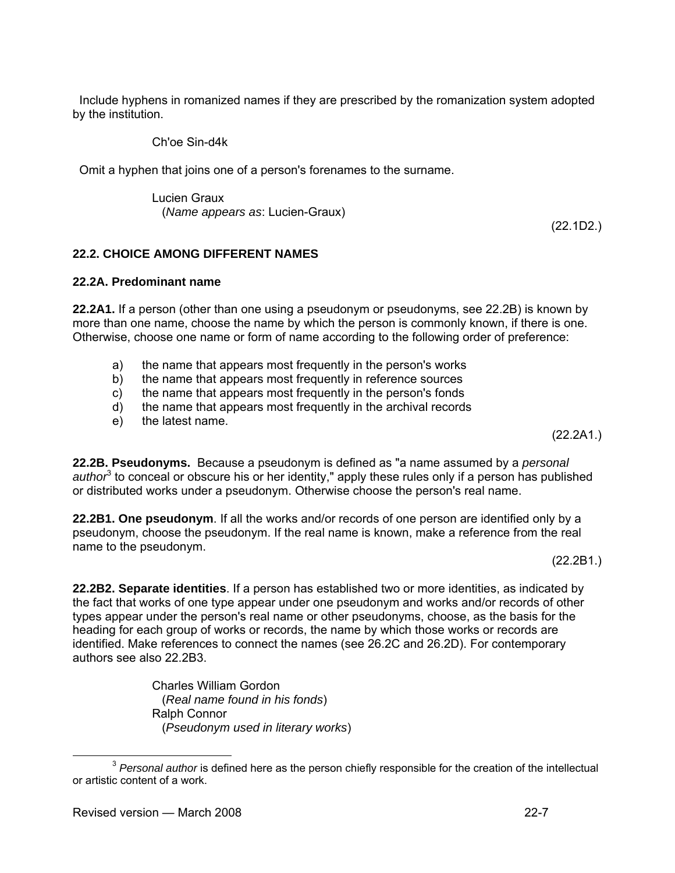Include hyphens in romanized names if they are prescribed by the romanization system adopted by the institution.

Ch'oe Sin-d4k

Omit a hyphen that joins one of a person's forenames to the surname.

Lucien Graux (*Name appears as*: Lucien-Graux)

#### **22.2. CHOICE AMONG DIFFERENT NAMES**

#### **22.2A. Predominant name**

**22.2A1.** If a person (other than one using a pseudonym or pseudonyms, see 22.2B) is known by more than one name, choose the name by which the person is commonly known, if there is one. Otherwise, choose one name or form of name according to the following order of preference:

- a) the name that appears most frequently in the person's works
- b) the name that appears most frequently in reference sources
- c) the name that appears most frequently in the person's fonds
- d) the name that appears most frequently in the archival records
- e) the latest name.

**22.2B. Pseudonyms.** Because a pseudonym is defined as "a name assumed by a *personal* author<sup>3</sup> to conceal or obscure his or her identity," apply these rules only if a person has published or distributed works under a pseudonym. Otherwise choose the person's real name.

**22.2B1. One pseudonym**. If all the works and/or records of one person are identified only by a pseudonym, choose the pseudonym. If the real name is known, make a reference from the real name to the pseudonym.

(22.2B1.)

**22.2B2. Separate identities**. If a person has established two or more identities, as indicated by the fact that works of one type appear under one pseudonym and works and/or records of other types appear under the person's real name or other pseudonyms, choose, as the basis for the heading for each group of works or records, the name by which those works or records are identified. Make references to connect the names (see 26.2C and 26.2D). For contemporary authors see also 22.2B3.

> Charles William Gordon (*Real name found in his fonds*) Ralph Connor (*Pseudonym used in literary works*)

(22.2A1.)

(22.1D2.)

<sup>&</sup>lt;sup>3</sup> Personal author is defined here as the person chiefly responsible for the creation of the intellectual or artistic content of a work.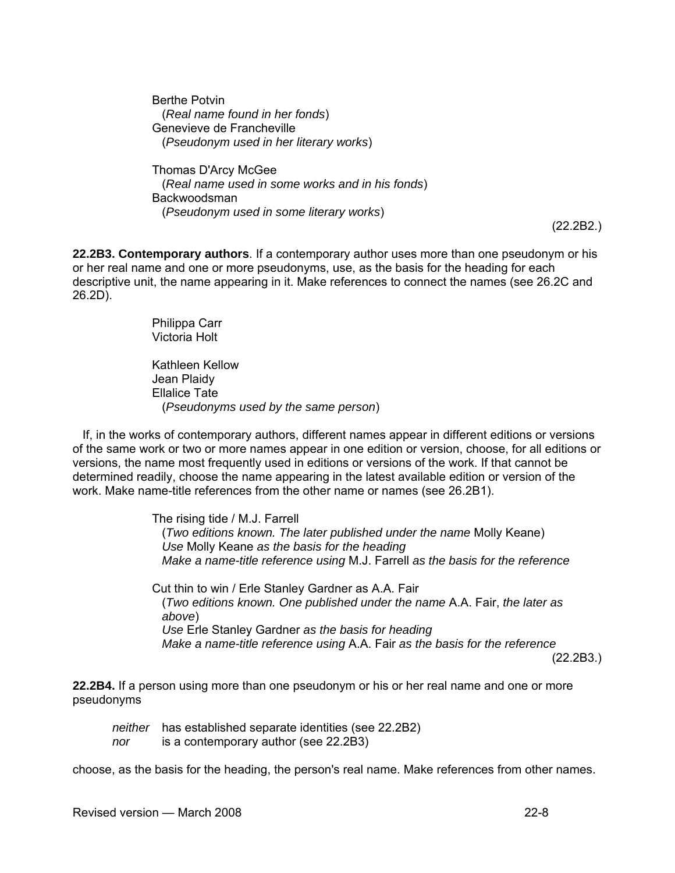Berthe Potvin (*Real name found in her fonds*) Genevieve de Francheville (*Pseudonym used in her literary works*)

Thomas D'Arcy McGee (*Real name used in some works and in his fonds*) Backwoodsman (*Pseudonym used in some literary works*)

(22.2B2.)

**22.2B3. Contemporary authors**. If a contemporary author uses more than one pseudonym or his or her real name and one or more pseudonyms, use, as the basis for the heading for each descriptive unit, the name appearing in it. Make references to connect the names (see 26.2C and 26.2D).

> Philippa Carr Victoria Holt

Kathleen Kellow Jean Plaidy Ellalice Tate (*Pseudonyms used by the same person*)

 If, in the works of contemporary authors, different names appear in different editions or versions of the same work or two or more names appear in one edition or version, choose, for all editions or versions, the name most frequently used in editions or versions of the work. If that cannot be determined readily, choose the name appearing in the latest available edition or version of the work. Make name-title references from the other name or names (see 26.2B1).

The rising tide / M.J. Farrell

 (*Two editions known. The later published under the name* Molly Keane)  *Use* Molly Keane *as the basis for the heading Make a name-title reference using* M.J. Farrell *as the basis for the reference*

Cut thin to win / Erle Stanley Gardner as A.A. Fair (*Two editions known. One published under the name* A.A. Fair, *the later as above*)  *Use* Erle Stanley Gardner *as the basis for heading Make a name-title reference using* A.A. Fair *as the basis for the reference* (22.2B3.)

**22.2B4.** If a person using more than one pseudonym or his or her real name and one or more pseudonyms

*neither* has established separate identities (see 22.2B2) *nor* is a contemporary author (see 22.2B3)

choose, as the basis for the heading, the person's real name. Make references from other names.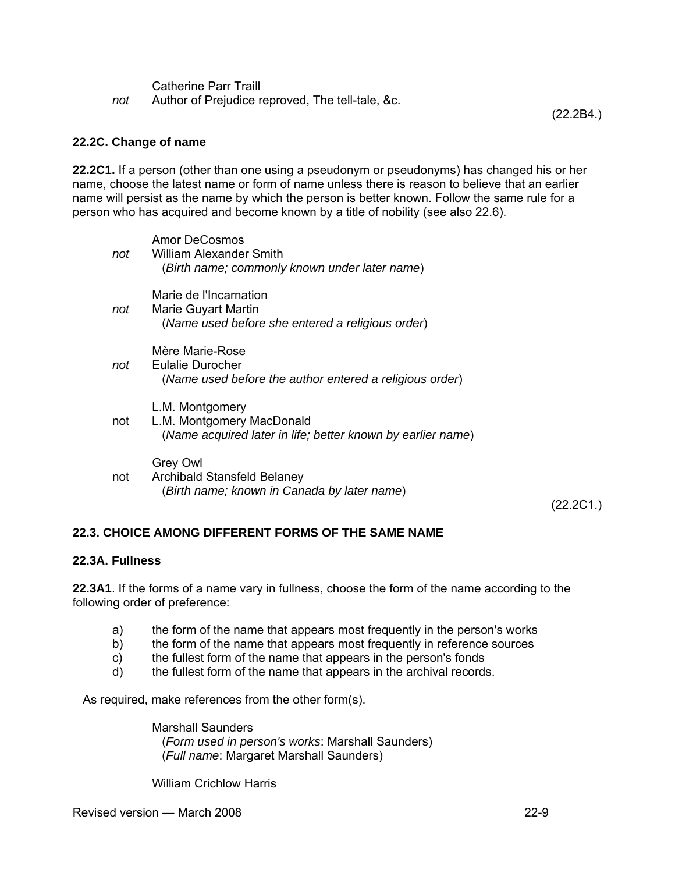Catherine Parr Traill

*not* Author of Prejudice reproved, The tell-tale, &c.

(22.2B4.)

#### **22.2C. Change of name**

**22.2C1.** If a person (other than one using a pseudonym or pseudonyms) has changed his or her name, choose the latest name or form of name unless there is reason to believe that an earlier name will persist as the name by which the person is better known. Follow the same rule for a person who has acquired and become known by a title of nobility (see also 22.6).

| not | Amor DeCosmos<br><b>William Alexander Smith</b><br>(Birth name; commonly known under later name)            |
|-----|-------------------------------------------------------------------------------------------------------------|
| not | Marie de l'Incarnation<br>Marie Guyart Martin<br>(Name used before she entered a religious order)           |
| not | Mère Marie-Rose<br>Eulalie Durocher<br>(Name used before the author entered a religious order)              |
| not | L.M. Montgomery<br>L.M. Montgomery MacDonald<br>(Name acquired later in life; better known by earlier name) |
| not | <b>Grey Owl</b><br>Archibald Stansfeld Belaney<br>(Birth name; known in Canada by later name)               |

(22.2C1.)

#### **22.3. CHOICE AMONG DIFFERENT FORMS OF THE SAME NAME**

#### **22.3A. Fullness**

**22.3A1**. If the forms of a name vary in fullness, choose the form of the name according to the following order of preference:

- a) the form of the name that appears most frequently in the person's works
- b) the form of the name that appears most frequently in reference sources
- c) the fullest form of the name that appears in the person's fonds
- d) the fullest form of the name that appears in the archival records.

As required, make references from the other form(s).

Marshall Saunders (*Form used in person's works*: Marshall Saunders) (*Full name*: Margaret Marshall Saunders)

William Crichlow Harris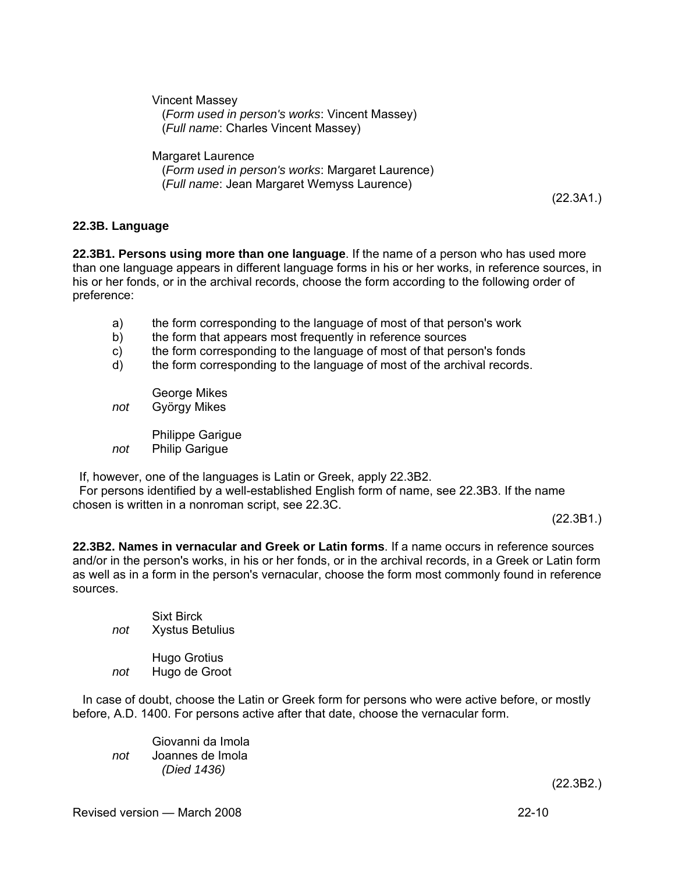Vincent Massey (*Form used in person's works*: Vincent Massey) (*Full name*: Charles Vincent Massey)

Margaret Laurence (*Form used in person's works*: Margaret Laurence) (*Full name*: Jean Margaret Wemyss Laurence)

(22.3A1.)

#### **22.3B. Language**

**22.3B1. Persons using more than one language**. If the name of a person who has used more than one language appears in different language forms in his or her works, in reference sources, in his or her fonds, or in the archival records, choose the form according to the following order of preference:

- a) the form corresponding to the language of most of that person's work
- b) the form that appears most frequently in reference sources
- c) the form corresponding to the language of most of that person's fonds
- d) the form corresponding to the language of most of the archival records.

 George Mikes *not* György Mikes

 Philippe Garigue *not* Philip Garigue

If, however, one of the languages is Latin or Greek, apply 22.3B2.

 For persons identified by a well-established English form of name, see 22.3B3. If the name chosen is written in a nonroman script, see 22.3C.

(22.3B1.)

**22.3B2. Names in vernacular and Greek or Latin forms**. If a name occurs in reference sources and/or in the person's works, in his or her fonds, or in the archival records, in a Greek or Latin form as well as in a form in the person's vernacular, choose the form most commonly found in reference sources.

 Sixt Birck *not* Xystus Betulius

 Hugo Grotius *not* Hugo de Groot

 In case of doubt, choose the Latin or Greek form for persons who were active before, or mostly before, A.D. 1400. For persons active after that date, choose the vernacular form.

 Giovanni da Imola *not* Joannes de Imola *(Died 1436)* 

(22.3B2.)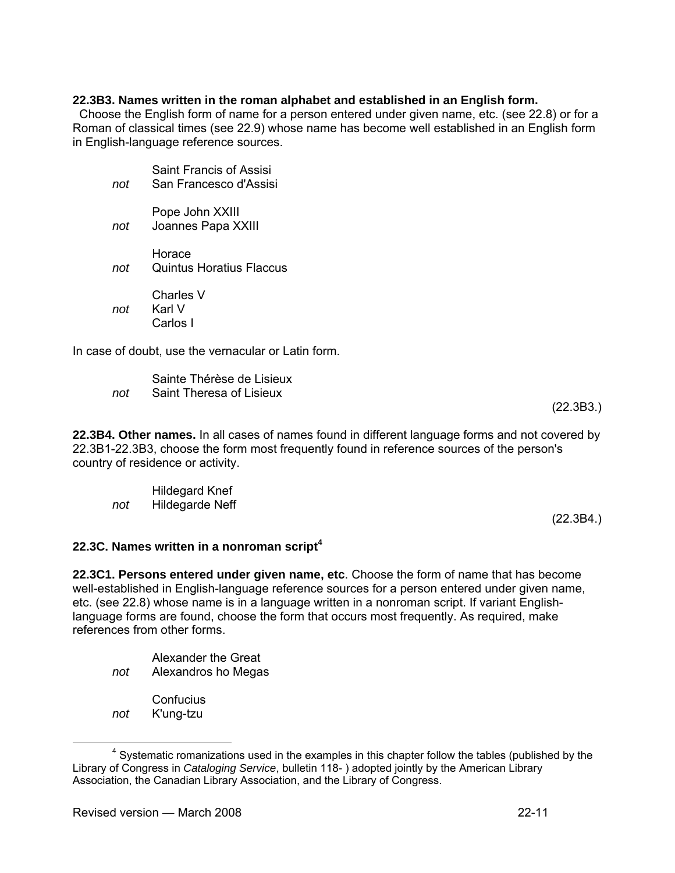#### **22.3B3. Names written in the roman alphabet and established in an English form.**

 Choose the English form of name for a person entered under given name, etc. (see 22.8) or for a Roman of classical times (see 22.9) whose name has become well established in an English form in English-language reference sources.

| not | <b>Saint Francis of Assisi</b><br>San Francesco d'Assisi |
|-----|----------------------------------------------------------|
| not | Pope John XXIII<br>Joannes Papa XXIII                    |
| not | Horace<br><b>Quintus Horatius Flaccus</b>                |
| not | Charles V<br>Karl V                                      |

In case of doubt, use the vernacular or Latin form.

Carlos I

 Sainte Thérèse de Lisieux *not* Saint Theresa of Lisieux

(22.3B3.)

(22.3B4.)

**22.3B4. Other names.** In all cases of names found in different language forms and not covered by 22.3B1-22.3B3, choose the form most frequently found in reference sources of the person's country of residence or activity.

 Hildegard Knef *not* Hildegarde Neff

#### **22.3C. Names written in a nonroman script<sup>4</sup>**

**22.3C1. Persons entered under given name, etc**. Choose the form of name that has become well-established in English-language reference sources for a person entered under given name, etc. (see 22.8) whose name is in a language written in a nonroman script. If variant Englishlanguage forms are found, choose the form that occurs most frequently. As required, make references from other forms.

 Alexander the Great *not* Alexandros ho Megas

**Confucius** *not* K'ung-tzu

 $\overline{\phantom{a}}$  $<sup>4</sup>$  Systematic romanizations used in the examples in this chapter follow the tables (published by the</sup> Library of Congress in *Cataloging Service*, bulletin 118- ) adopted jointly by the American Library Association, the Canadian Library Association, and the Library of Congress.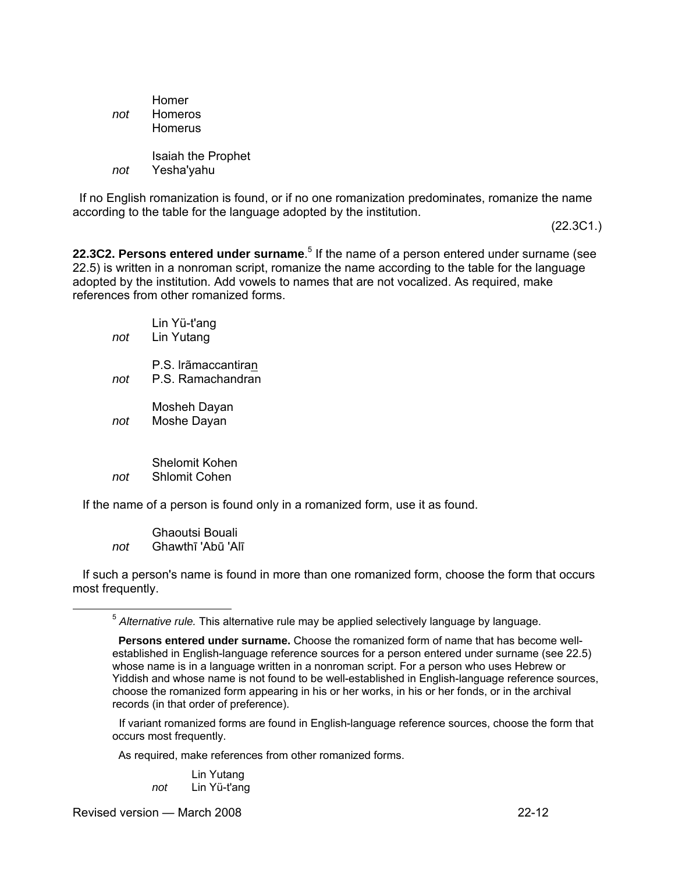Homer *not* Homeros **Homerus** 

 Isaiah the Prophet *not* Yesha'yahu

 If no English romanization is found, or if no one romanization predominates, romanize the name according to the table for the language adopted by the institution.

(22.3C1.)

22.3C2. Persons entered under surname.<sup>5</sup> If the name of a person entered under surname (see 22.5) is written in a nonroman script, romanize the name according to the table for the language adopted by the institution. Add vowels to names that are not vocalized. As required, make references from other romanized forms.

 Lin Yü-t'ang *not* Lin Yutang P.S. lrãmaccantiran *not* P.S. Ramachandran Mosheh Dayan *not* Moshe Dayan

 Shelomit Kohen *not* Shlomit Cohen

If the name of a person is found only in a romanized form, use it as found.

 Ghaoutsi Bouali *not* Ghawthī 'Abū 'Alī

 If such a person's name is found in more than one romanized form, choose the form that occurs most frequently.

<sup>5</sup> Alternative rule. This alternative rule may be applied selectively language by language.

 **Persons entered under surname.** Choose the romanized form of name that has become wellestablished in English-language reference sources for a person entered under surname (see 22.5) whose name is in a language written in a nonroman script. For a person who uses Hebrew or Yiddish and whose name is not found to be well-established in English-language reference sources, choose the romanized form appearing in his or her works, in his or her fonds, or in the archival records (in that order of preference).

If variant romanized forms are found in English-language reference sources, choose the form that occurs most frequently.

As required, make references from other romanized forms.

 Lin Yutang  *not* Lin Yü-t'ang

Revised version — March 2008 22-12 22-12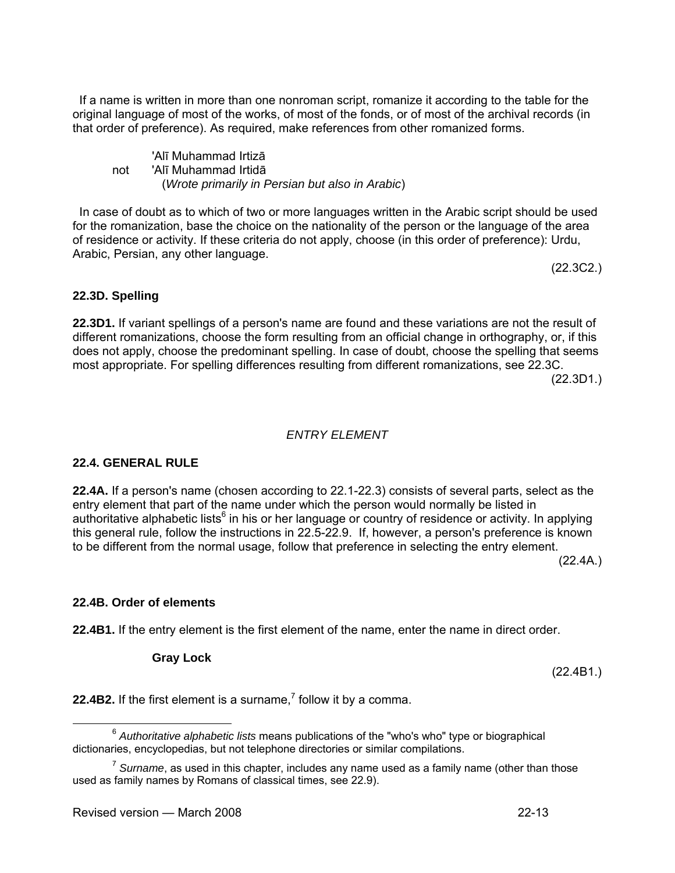If a name is written in more than one nonroman script, romanize it according to the table for the original language of most of the works, of most of the fonds, or of most of the archival records (in that order of preference). As required, make references from other romanized forms.

 'Alī Muhammad Irtizā not 'Alī Muhammad Irtidā (*Wrote primarily in Persian but also in Arabic*)

 In case of doubt as to which of two or more languages written in the Arabic script should be used for the romanization, base the choice on the nationality of the person or the language of the area of residence or activity. If these criteria do not apply, choose (in this order of preference): Urdu, Arabic, Persian, any other language.

(22.3C2.)

## **22.3D. Spelling**

**22.3D1.** If variant spellings of a person's name are found and these variations are not the result of different romanizations, choose the form resulting from an official change in orthography, or, if this does not apply, choose the predominant spelling. In case of doubt, choose the spelling that seems most appropriate. For spelling differences resulting from different romanizations, see 22.3C. (22.3D1.)

#### *ENTRY ELEMENT*

#### **22.4. GENERAL RULE**

**22.4A.** If a person's name (chosen according to 22.1-22.3) consists of several parts, select as the entry element that part of the name under which the person would normally be listed in authoritative alphabetic lists<sup>6</sup> in his or her language or country of residence or activity. In applying this general rule, follow the instructions in 22.5-22.9. If, however, a person's preference is known to be different from the normal usage, follow that preference in selecting the entry element.

(22.4A.)

#### **22.4B. Order of elements**

**22.4B1.** If the entry element is the first element of the name, enter the name in direct order.

#### **Gray Lock**

(22.4B1.)

**22.4B2.** If the first element is a surname,<sup>7</sup> follow it by a comma.

 <sup>6</sup> *Authoritative alphabetic lists* means publications of the "who's who" type or biographical dictionaries, encyclopedias, but not telephone directories or similar compilations.

<sup>7</sup> *Surname*, as used in this chapter, includes any name used as a family name (other than those used as family names by Romans of classical times, see 22.9).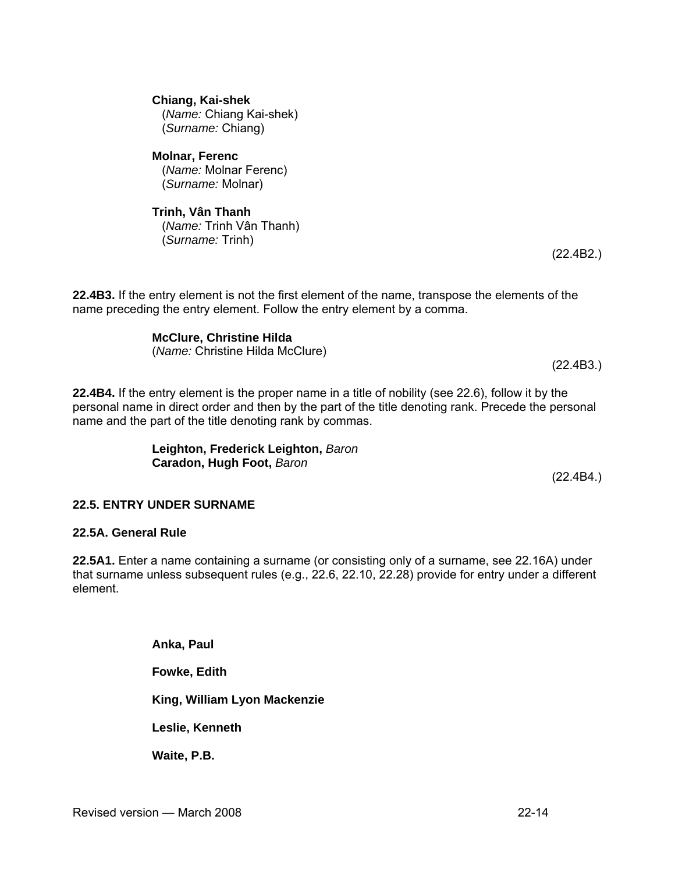## **Chiang, Kai-shek**

 (*Name:* Chiang Kai-shek) (*Surname:* Chiang)

## **Molnar, Ferenc**

 (*Name:* Molnar Ferenc) (*Surname:* Molnar)

## **Trinh, Vân Thanh**

 (*Name:* Trinh Vân Thanh) (*Surname:* Trinh)

**22.4B3.** If the entry element is not the first element of the name, transpose the elements of the name preceding the entry element. Follow the entry element by a comma.

## **McClure, Christine Hilda**

(*Name:* Christine Hilda McClure)

**22.4B4.** If the entry element is the proper name in a title of nobility (see 22.6), follow it by the personal name in direct order and then by the part of the title denoting rank. Precede the personal name and the part of the title denoting rank by commas.

> **Leighton, Frederick Leighton,** *Baron*  **Caradon, Hugh Foot,** *Baron*

## **22.5. ENTRY UNDER SURNAME**

## **22.5A. General Rule**

**22.5A1.** Enter a name containing a surname (or consisting only of a surname, see 22.16A) under that surname unless subsequent rules (e.g., 22.6, 22.10, 22.28) provide for entry under a different element.

**Anka, Paul** 

**Fowke, Edith** 

**King, William Lyon Mackenzie** 

**Leslie, Kenneth** 

**Waite, P.B.** 

(22.4B3.)

(22.4B2.)

(22.4B4.)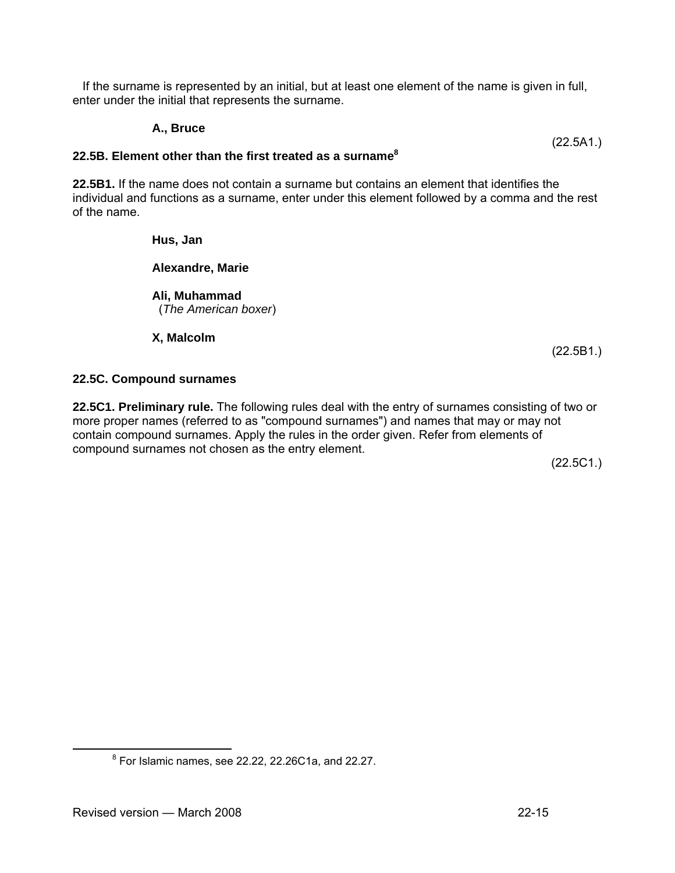If the surname is represented by an initial, but at least one element of the name is given in full, enter under the initial that represents the surname.

#### **A., Bruce**

#### **22.5B. Element other than the first treated as a surname8**

**22.5B1.** If the name does not contain a surname but contains an element that identifies the individual and functions as a surname, enter under this element followed by a comma and the rest of the name.

#### **Hus, Jan**

#### **Alexandre, Marie**

## **Ali, Muhammad**

(*The American boxer*)

#### **X, Malcolm**

(22.5B1.)

#### **22.5C. Compound surnames**

**22.5C1. Preliminary rule.** The following rules deal with the entry of surnames consisting of two or more proper names (referred to as "compound surnames") and names that may or may not contain compound surnames. Apply the rules in the order given. Refer from elements of compound surnames not chosen as the entry element.

(22.5C1.)

(22.5A1.)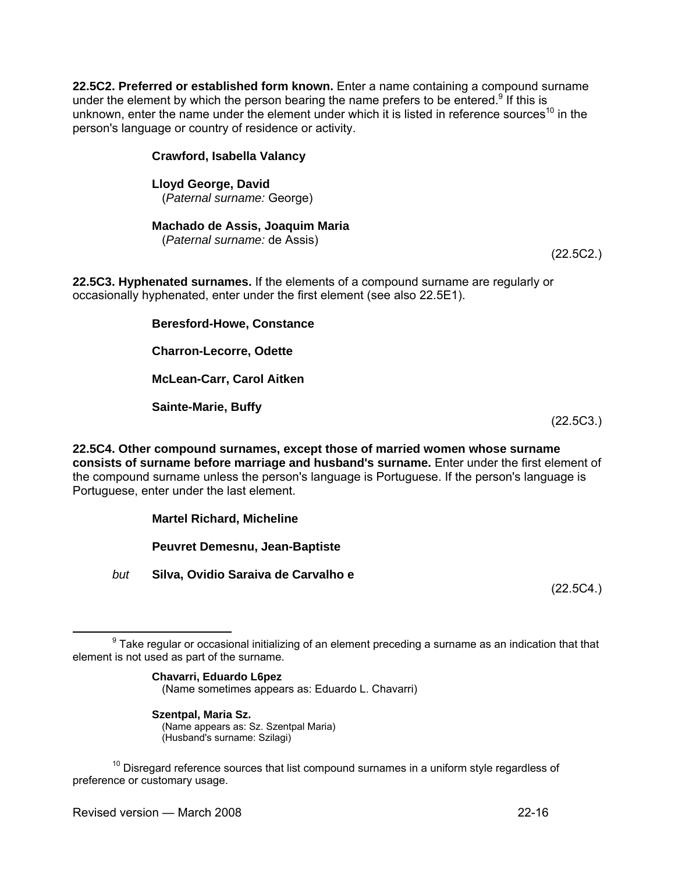**22.5C2. Preferred or established form known.** Enter a name containing a compound surname under the element by which the person bearing the name prefers to be entered.<sup>9</sup> If this is unknown, enter the name under the element under which it is listed in reference sources<sup>10</sup> in the person's language or country of residence or activity.

#### **Crawford, Isabella Valancy**

**Lloyd George, David**  (*Paternal surname:* George)

#### **Machado de Assis, Joaquim Maria**

(*Paternal surname:* de Assis)

(22.5C2.)

**22.5C3. Hyphenated surnames.** If the elements of a compound surname are regularly or occasionally hyphenated, enter under the first element (see also 22.5E1).

**Beresford-Howe, Constance** 

**Charron-Lecorre, Odette** 

**McLean-Carr, Carol Aitken** 

**Sainte-Marie, Buffy** 

(22.5C3.)

**22.5C4. Other compound surnames, except those of married women whose surname consists of surname before marriage and husband's surname.** Enter under the first element of the compound surname unless the person's language is Portuguese. If the person's language is Portuguese, enter under the last element.

 **Martel Richard, Micheline** 

 **Peuvret Demesnu, Jean-Baptiste** 

*but* **Silva, Ovidio Saraiva de Carvalho e**

(22.5C4.)

 9 <sup>9</sup> Take regular or occasional initializing of an element preceding a surname as an indication that that element is not used as part of the surname.

#### **Chavarri, Eduardo L6pez**

(Name sometimes appears as: Eduardo L. Chavarri)

#### **Szentpal, Maria Sz.**

 (Name appears as: Sz. Szentpal Maria) (Husband's surname: Szilagi)

 $10$  Disregard reference sources that list compound surnames in a uniform style regardless of preference or customary usage.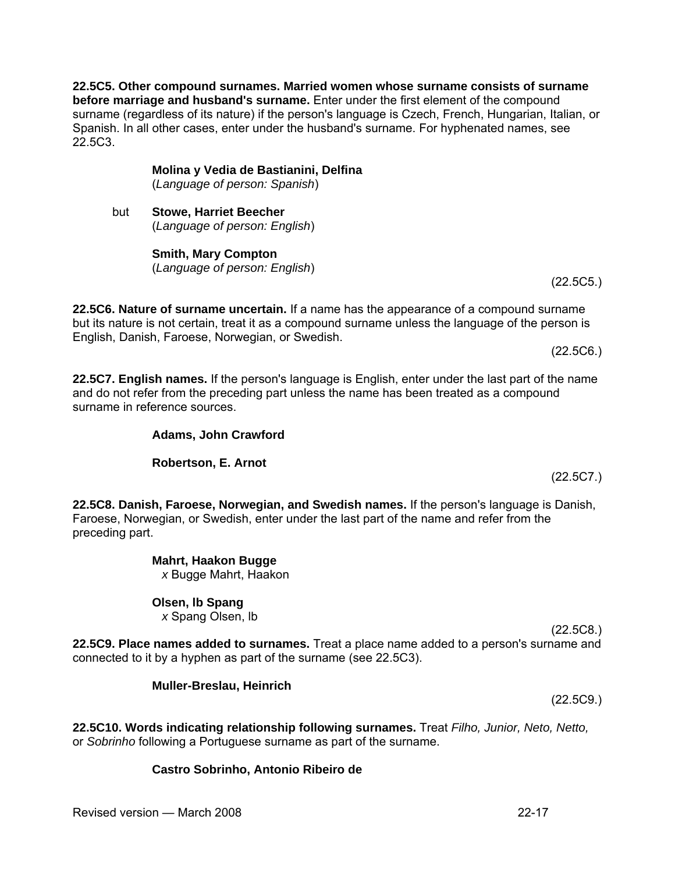Revised version — March 2008 22-17

**22.5C5. Other compound surnames. Married women whose surname consists of surname before marriage and husband's surname.** Enter under the first element of the compound surname (regardless of its nature) if the person's language is Czech, French, Hungarian, Italian, or Spanish. In all other cases, enter under the husband's surname. For hyphenated names, see 22.5C3.

> **Molina y Vedia de Bastianini, Delfina**  (*Language of person: Spanish*)

but **Stowe, Harriet Beecher**  (*Language of person: English*)

> **Smith, Mary Compton** (*Language of person: English*)

**22.5C6. Nature of surname uncertain.** If a name has the appearance of a compound surname but its nature is not certain, treat it as a compound surname unless the language of the person is English, Danish, Faroese, Norwegian, or Swedish.

**22.5C7. English names.** If the person's language is English, enter under the last part of the name and do not refer from the preceding part unless the name has been treated as a compound surname in reference sources.

## **Adams, John Crawford**

**Robertson, E. Arnot**

**22.5C8. Danish, Faroese, Norwegian, and Swedish names.** If the person's language is Danish, Faroese, Norwegian, or Swedish, enter under the last part of the name and refer from the preceding part.

> **Mahrt, Haakon Bugge**  *x* Bugge Mahrt, Haakon

**Olsen, lb Spang** 

*x* Spang Olsen, lb

(22.5C8.) **22.5C9. Place names added to surnames.** Treat a place name added to a person's surname and connected to it by a hyphen as part of the surname (see 22.5C3).

**22.5C10. Words indicating relationship following surnames.** Treat *Filho, Junior, Neto, Netto,*

(22.5C9.)

(22.5C7.)

**Muller-Breslau, Heinrich** 

or *Sobrinho* following a Portuguese surname as part of the surname.

**Castro Sobrinho, Antonio Ribeiro de** 

(22.5C6.)

(22.5C5.)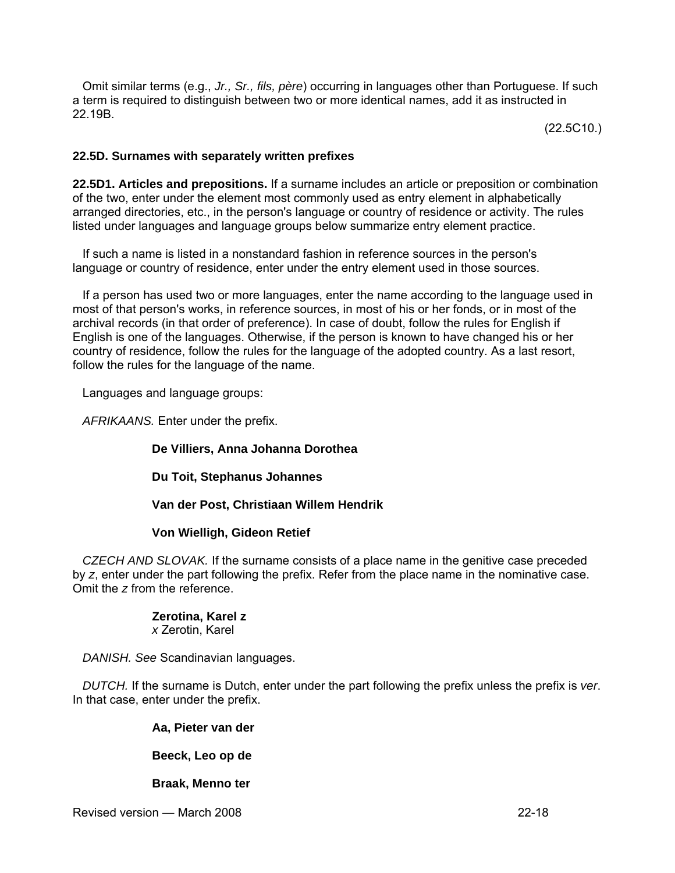Omit similar terms (e.g., *Jr., Sr., fils, père*) occurring in languages other than Portuguese. If such a term is required to distinguish between two or more identical names, add it as instructed in 22.19B.

(22.5C10.)

#### **22.5D. Surnames with separately written prefixes**

**22.5D1. Articles and prepositions.** If a surname includes an article or preposition or combination of the two, enter under the element most commonly used as entry element in alphabetically arranged directories, etc., in the person's language or country of residence or activity. The rules listed under languages and language groups below summarize entry element practice.

 If such a name is listed in a nonstandard fashion in reference sources in the person's language or country of residence, enter under the entry element used in those sources.

 If a person has used two or more languages, enter the name according to the language used in most of that person's works, in reference sources, in most of his or her fonds, or in most of the archival records (in that order of preference). In case of doubt, follow the rules for English if English is one of the languages. Otherwise, if the person is known to have changed his or her country of residence, follow the rules for the language of the adopted country. As a last resort, follow the rules for the language of the name.

Languages and language groups:

*AFRIKAANS.* Enter under the prefix.

**De Villiers, Anna Johanna Dorothea** 

**Du Toit, Stephanus Johannes** 

**Van der Post, Christiaan Willem Hendrik** 

#### **Von Wielligh, Gideon Retief**

 *CZECH AND SLOVAK.* If the surname consists of a place name in the genitive case preceded by *z*, enter under the part following the prefix. Refer from the place name in the nominative case. Omit the *z* from the reference.

#### **Zerotina, Karel z**

*x* Zerotin, Karel

*DANISH. See* Scandinavian languages.

*DUTCH.* If the surname is Dutch, enter under the part following the prefix unless the prefix is *ver*. In that case, enter under the prefix.

#### **Aa, Pieter van der**

**Beeck, Leo op de** 

**Braak, Menno ter** 

Revised version — March 2008 22-18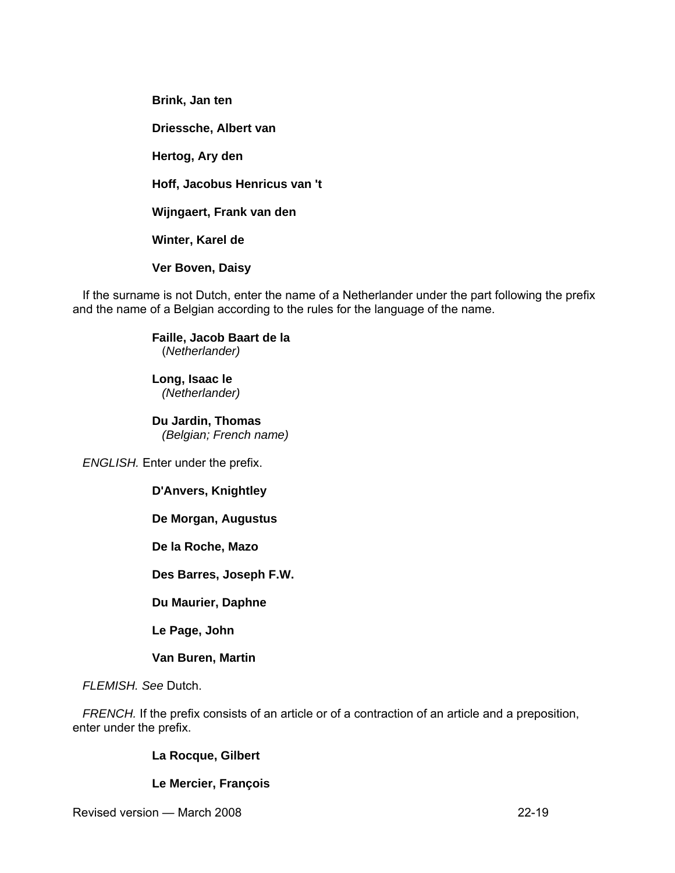**Brink, Jan ten Driessche, Albert van Hertog, Ary den Hoff, Jacobus Henricus van 't Wijngaert, Frank van den Winter, Karel de Ver Boven, Daisy**

 If the surname is not Dutch, enter the name of a Netherlander under the part following the prefix and the name of a Belgian according to the rules for the language of the name.

> **Faille, Jacob Baart de la**  (*Netherlander)*

**Long, Isaac le**   *(Netherlander)* 

**Du Jardin, Thomas**   *(Belgian; French name)* 

*ENGLISH.* Enter under the prefix.

**D'Anvers, Knightley** 

**De Morgan, Augustus** 

**De la Roche, Mazo** 

**Des Barres, Joseph F.W.** 

**Du Maurier, Daphne** 

**Le Page, John** 

#### **Van Buren, Martin**

*FLEMISH. See* Dutch.

 *FRENCH.* If the prefix consists of an article or of a contraction of an article and a preposition, enter under the prefix.

**La Rocque, Gilbert** 

#### **Le Mercier, François**

Revised version — March 2008 22-19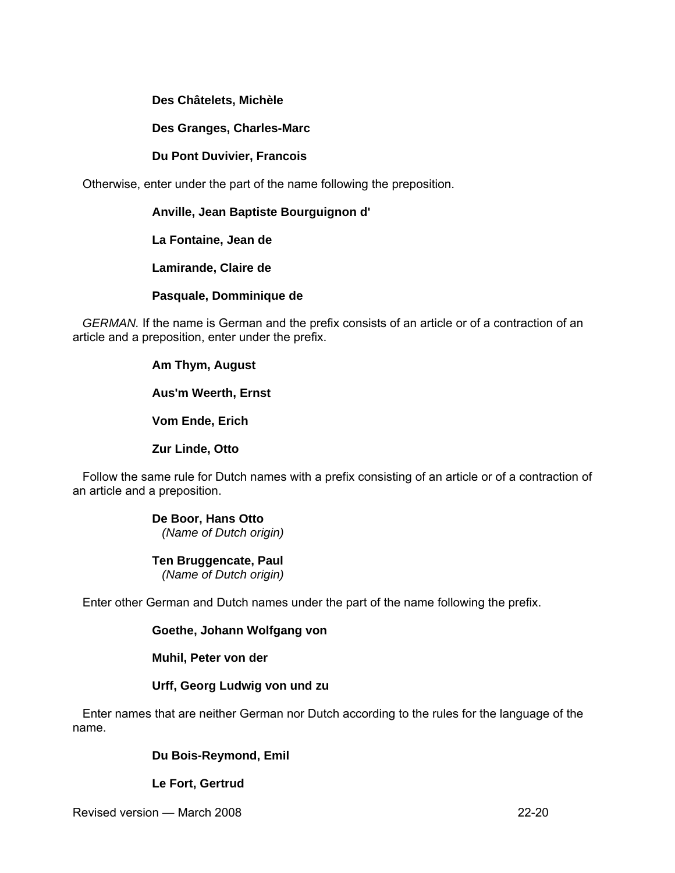**Des Châtelets, Michèle** 

**Des Granges, Charles-Marc** 

#### **Du Pont Duvivier, Francois**

Otherwise, enter under the part of the name following the preposition.

**Anville, Jean Baptiste Bourguignon d'** 

**La Fontaine, Jean de** 

**Lamirande, Claire de** 

**Pasquale, Domminique de**

*GERMAN.* If the name is German and the prefix consists of an article or of a contraction of an article and a preposition, enter under the prefix.

> **Am Thym, August Aus'm Weerth, Ernst Vom Ende, Erich Zur Linde, Otto**

 Follow the same rule for Dutch names with a prefix consisting of an article or of a contraction of an article and a preposition.

> **De Boor, Hans Otto**   *(Name of Dutch origin)*

> **Ten Bruggencate, Paul**   *(Name of Dutch origin)*

Enter other German and Dutch names under the part of the name following the prefix.

#### **Goethe, Johann Wolfgang von**

**Muhil, Peter von der** 

#### **Urff, Georg Ludwig von und zu**

 Enter names that are neither German nor Dutch according to the rules for the language of the name.

**Du Bois-Reymond, Emil** 

**Le Fort, Gertrud**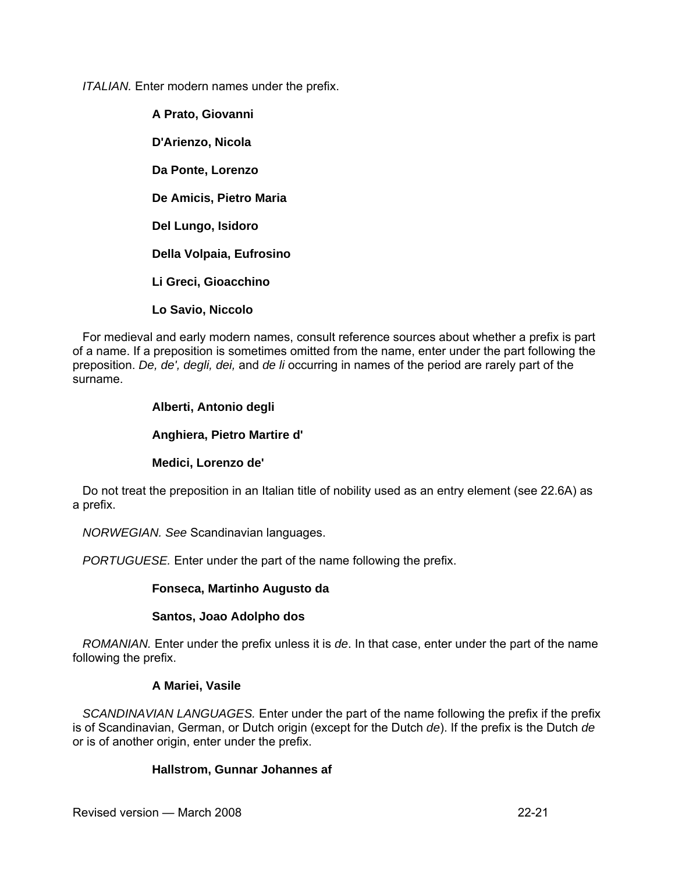*ITALIAN.* Enter modern names under the prefix.

**A Prato, Giovanni D'Arienzo, Nicola Da Ponte, Lorenzo De Amicis, Pietro Maria Del Lungo, Isidoro Della Volpaia, Eufrosino Li Greci, Gioacchino Lo Savio, Niccolo**

 For medieval and early modern names, consult reference sources about whether a prefix is part of a name. If a preposition is sometimes omitted from the name, enter under the part following the preposition. *De, de', degli, dei,* and *de li* occurring in names of the period are rarely part of the surname.

## **Alberti, Antonio degli**

#### **Anghiera, Pietro Martire d'**

#### **Medici, Lorenzo de'**

 Do not treat the preposition in an Italian title of nobility used as an entry element (see 22.6A) as a prefix.

*NORWEGIAN. See* Scandinavian languages.

*PORTUGUESE.* Enter under the part of the name following the prefix.

#### **Fonseca, Martinho Augusto da**

#### **Santos, Joao Adolpho dos**

*ROMANIAN.* Enter under the prefix unless it is *de*. In that case, enter under the part of the name following the prefix.

#### **A Mariei, Vasile**

*SCANDINAVIAN LANGUAGES.* Enter under the part of the name following the prefix if the prefix is of Scandinavian, German, or Dutch origin (except for the Dutch *de*). If the prefix is the Dutch *de* or is of another origin, enter under the prefix.

#### **Hallstrom, Gunnar Johannes af**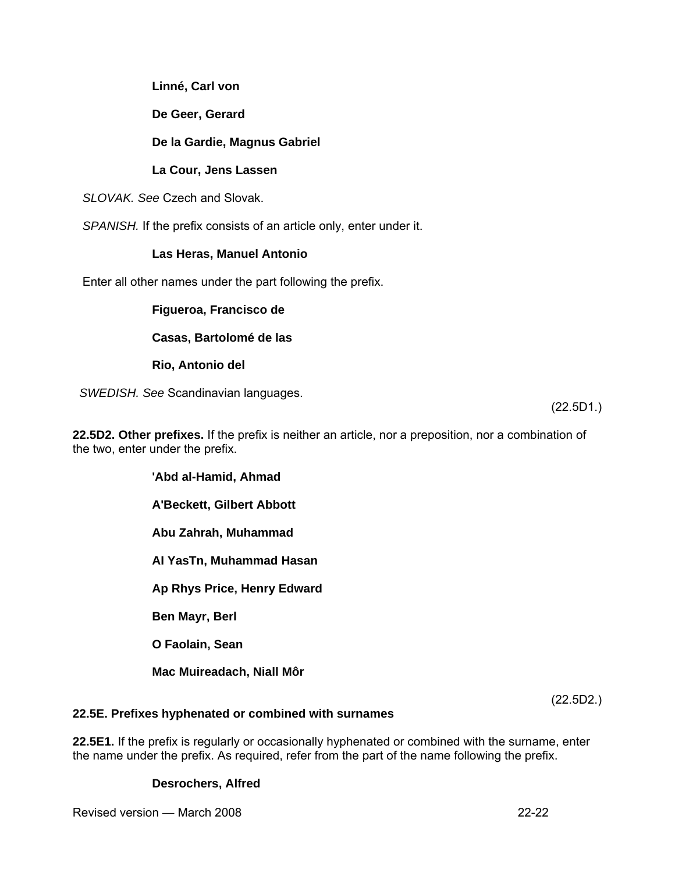**Linné, Carl von** 

**De Geer, Gerard** 

**De la Gardie, Magnus Gabriel** 

**La Cour, Jens Lassen**

*SLOVAK. See* Czech and Slovak.

*SPANISH.* If the prefix consists of an article only, enter under it.

## **Las Heras, Manuel Antonio**

Enter all other names under the part following the prefix.

**Figueroa, Francisco de** 

**Casas, Bartolomé de las** 

**Rio, Antonio del**

*SWEDISH. See* Scandinavian languages.

(22.5D1.)

**22.5D2. Other prefixes.** If the prefix is neither an article, nor a preposition, nor a combination of the two, enter under the prefix.

> **'Abd al-Hamid, Ahmad A'Beckett, Gilbert Abbott Abu Zahrah, Muhammad AI YasTn, Muhammad Hasan Ap Rhys Price, Henry Edward Ben Mayr, Berl O Faolain, Sean**

**Mac Muireadach, Niall Môr**

(22.5D2.)

## **22.5E. Prefixes hyphenated or combined with surnames**

**22.5E1.** If the prefix is regularly or occasionally hyphenated or combined with the surname, enter the name under the prefix. As required, refer from the part of the name following the prefix.

## **Desrochers, Alfred**

Revised version — March 2008 22-22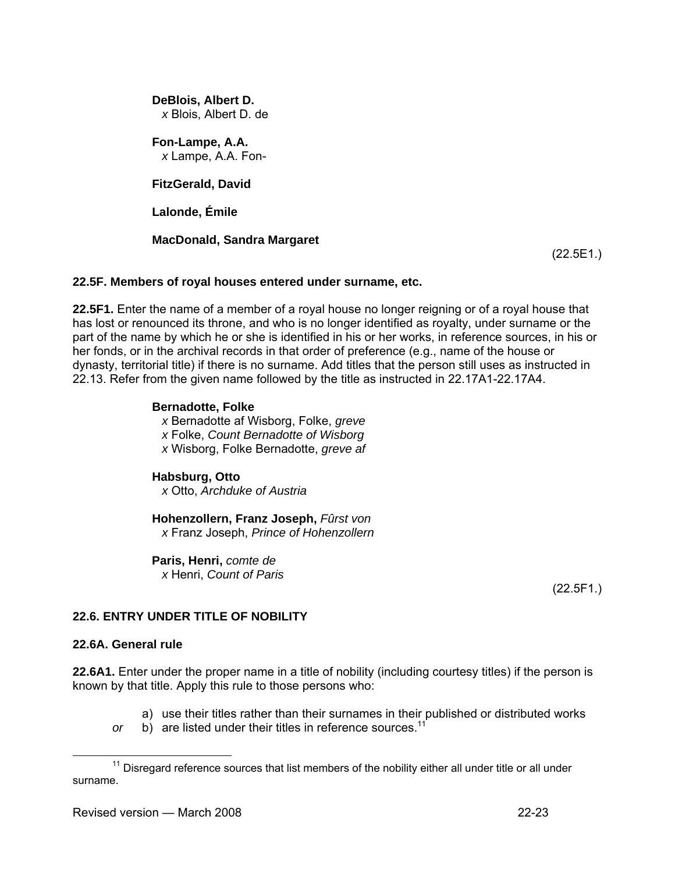**DeBlois, Albert D.**  *x* Blois, Albert D. de

**Fon-Lampe, A.A.**  *x* Lampe, A.A. Fon-

**FitzGerald, David** 

**Lalonde, Émile** 

**MacDonald, Sandra Margaret** 

(22.5E1.)

#### **22.5F. Members of royal houses entered under surname, etc.**

**22.5F1.** Enter the name of a member of a royal house no longer reigning or of a royal house that has lost or renounced its throne, and who is no longer identified as royalty, under surname or the part of the name by which he or she is identified in his or her works, in reference sources, in his or her fonds, or in the archival records in that order of preference (e.g., name of the house or dynasty, territorial title) if there is no surname. Add titles that the person still uses as instructed in 22.13. Refer from the given name followed by the title as instructed in 22.17A1-22.17A4.

#### **Bernadotte, Folke**

 *x* Bernadotte af Wisborg, Folke, *greve x* Folke, *Count Bernadotte of Wisborg x* Wisborg, Folke Bernadotte, *greve af*

## **Habsburg, Otto**

*x* Otto, *Archduke of Austria* 

**Hohenzollern, Franz Joseph,** *Fûrst von x* Franz Joseph, *Prince of Hohenzollern*

**Paris, Henri,** *comte de x* Henri, *Count of Paris*

(22.5F1.)

## **22.6. ENTRY UNDER TITLE OF NOBILITY**

#### **22.6A. General rule**

**22.6A1.** Enter under the proper name in a title of nobility (including courtesy titles) if the person is known by that title. Apply this rule to those persons who:

a) use their titles rather than their surnames in their published or distributed works

*or* b) are listed under their titles in reference sources.<sup>11</sup>

 $11$  Disregard reference sources that list members of the nobility either all under title or all under surname.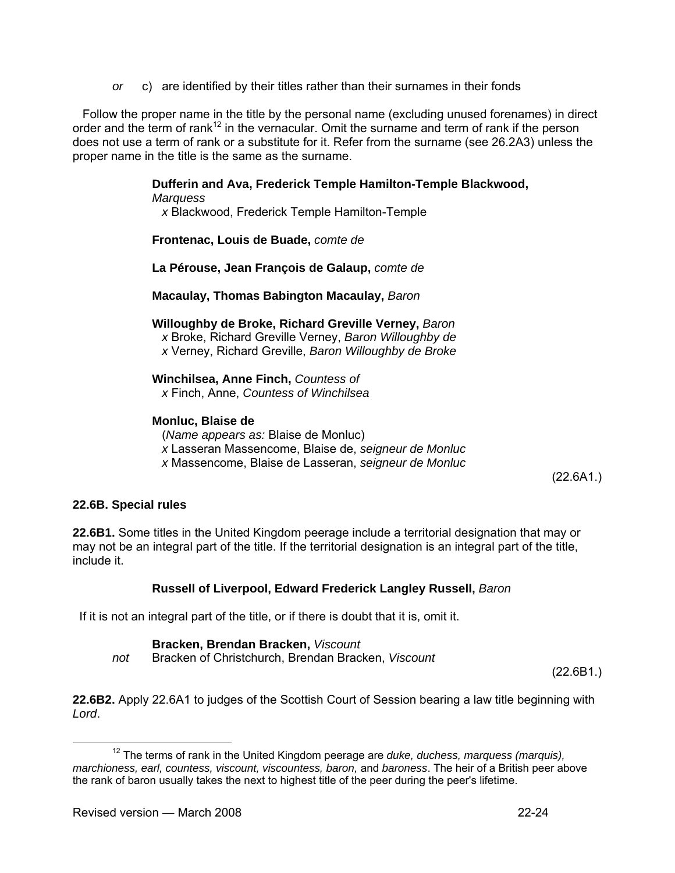*or* c) are identified by their titles rather than their surnames in their fonds

 Follow the proper name in the title by the personal name (excluding unused forenames) in direct order and the term of rank<sup>12</sup> in the vernacular. Omit the surname and term of rank if the person does not use a term of rank or a substitute for it. Refer from the surname (see 26.2A3) unless the proper name in the title is the same as the surname.

> **Dufferin and Ava, Frederick Temple Hamilton-Temple Blackwood,** *Marquess x* Blackwood, Frederick Temple Hamilton-Temple **Frontenac, Louis de Buade,** *comte de* **La Pérouse, Jean François de Galaup,** *comte de* **Macaulay, Thomas Babington Macaulay,** *Baron*  **Willoughby de Broke, Richard Greville Verney,** *Baron x* Broke, Richard Greville Verney, *Baron Willoughby de x* Verney, Richard Greville, *Baron Willoughby de Broke*

**Winchilsea, Anne Finch,** *Countess of x* Finch, Anne, *Countess of Winchilsea*

#### **Monluc, Blaise de**

 (*Name appears as:* Blaise de Monluc) *x* Lasseran Massencome, Blaise de, *seigneur de Monluc x* Massencome, Blaise de Lasseran, *seigneur de Monluc*

(22.6A1.)

#### **22.6B. Special rules**

**22.6B1.** Some titles in the United Kingdom peerage include a territorial designation that may or may not be an integral part of the title. If the territorial designation is an integral part of the title, include it.

## **Russell of Liverpool, Edward Frederick Langley Russell,** *Baron*

If it is not an integral part of the title, or if there is doubt that it is, omit it.

#### **Bracken, Brendan Bracken,** *Viscount*

*not* Bracken of Christchurch, Brendan Bracken, *Viscount*

(22.6B1.)

**22.6B2.** Apply 22.6A1 to judges of the Scottish Court of Session bearing a law title beginning with *Lord*.

 <sup>12</sup> The terms of rank in the United Kingdom peerage are *duke, duchess, marquess (marquis), marchioness, earl, countess, viscount, viscountess, baron, and <i>baroness*. The heir of a British peer above the rank of baron usually takes the next to highest title of the peer during the peer's lifetime.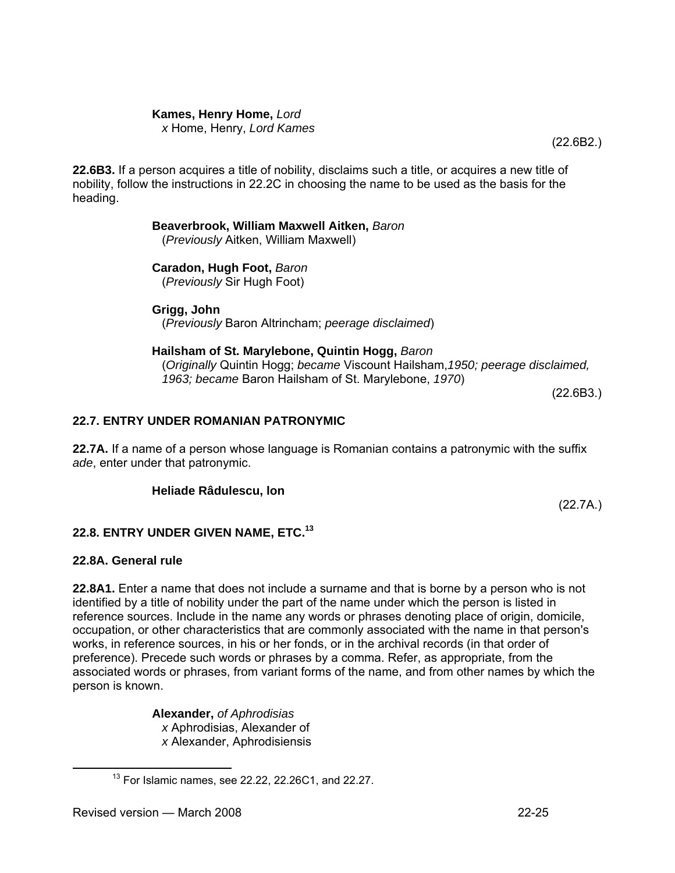## **Kames, Henry Home,** *Lord*

*x* Home, Henry, *Lord Kames*

(22.6B2.)

**22.6B3.** If a person acquires a title of nobility, disclaims such a title, or acquires a new title of nobility, follow the instructions in 22.2C in choosing the name to be used as the basis for the heading.

## **Beaverbrook, William Maxwell Aitken,** *Baron*

(*Previously* Aitken, William Maxwell)

## **Caradon, Hugh Foot,** *Baron*

(*Previously* Sir Hugh Foot)

**Grigg, John** 

(*Previously* Baron Altrincham; *peerage disclaimed*)

#### **Hailsham of St. Marylebone, Quintin Hogg,** *Baron* (*Originally* Quintin Hogg; *became* Viscount Hailsham,*1950; peerage disclaimed, 1963; became* Baron Hailsham of St. Marylebone, *1970*)

(22.6B3.)

## **22.7. ENTRY UNDER ROMANIAN PATRONYMIC**

**22.7A.** If a name of a person whose language is Romanian contains a patronymic with the suffix *ade*, enter under that patronymic.

## **Heliade Râdulescu, lon**

(22.7A.)

## **22.8. ENTRY UNDER GIVEN NAME, ETC.<sup>13</sup>**

## **22.8A. General rule**

**22.8A1.** Enter a name that does not include a surname and that is borne by a person who is not identified by a title of nobility under the part of the name under which the person is listed in reference sources. Include in the name any words or phrases denoting place of origin, domicile, occupation, or other characteristics that are commonly associated with the name in that person's works, in reference sources, in his or her fonds, or in the archival records (in that order of preference). Precede such words or phrases by a comma. Refer, as appropriate, from the associated words or phrases, from variant forms of the name, and from other names by which the person is known.

> **Alexander,** *of Aphrodisias x* Aphrodisias, Alexander of *x* Alexander, Aphrodisiensis

 <sup>13</sup> For Islamic names, see 22.22, 22.26C1, and 22.27.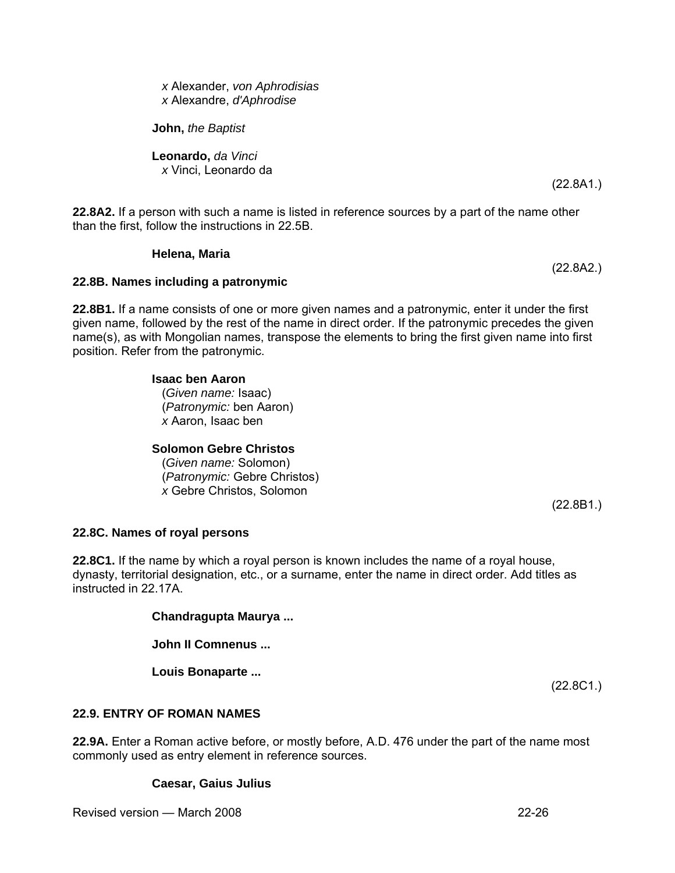**22.8C. Names of royal persons** 

**22.8C1.** If the name by which a royal person is known includes the name of a royal house, dynasty, territorial designation, etc., or a surname, enter the name in direct order. Add titles as instructed in 22.17A.

#### **Chandragupta Maurya ...**

**John II Comnenus ...** 

**Louis Bonaparte ...**

#### **22.9. ENTRY OF ROMAN NAMES**

**22.9A.** Enter a Roman active before, or mostly before, A.D. 476 under the part of the name most commonly used as entry element in reference sources.

#### **Caesar, Gaius Julius**

 *x* Alexander, *von Aphrodisias x* Alexandre, *d'Aphrodise* 

**John,** *the Baptist*

**Leonardo,** *da Vinci x* Vinci, Leonardo da

**22.8A2.** If a person with such a name is listed in reference sources by a part of the name other than the first, follow the instructions in 22.5B.

#### **Helena, Maria**

#### **22.8B. Names including a patronymic**

**22.8B1.** If a name consists of one or more given names and a patronymic, enter it under the first given name, followed by the rest of the name in direct order. If the patronymic precedes the given name(s), as with Mongolian names, transpose the elements to bring the first given name into first position. Refer from the patronymic.

#### **Isaac ben Aaron**

 (*Given name:* Isaac) (*Patronymic:* ben Aaron) *x* Aaron, Isaac ben

#### **Solomon Gebre Christos**

 (*Given name:* Solomon) (*Patronymic:* Gebre Christos) *x* Gebre Christos, Solomon

(22.8B1.)

(22.8C1.)

(22.8A2.)

(22.8A1.)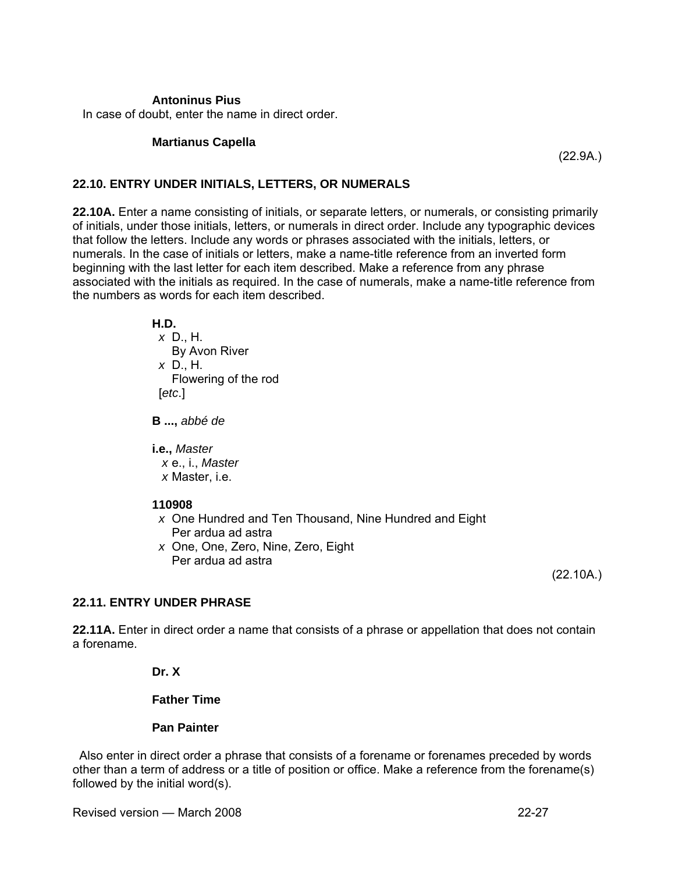#### **Antoninus Pius**

In case of doubt, enter the name in direct order.

#### **Martianus Capella**

(22.9A.)

### **22.10. ENTRY UNDER INITIALS, LETTERS, OR NUMERALS**

**22.10A.** Enter a name consisting of initials, or separate letters, or numerals, or consisting primarily of initials, under those initials, letters, or numerals in direct order. Include any typographic devices that follow the letters. Include any words or phrases associated with the initials, letters, or numerals. In the case of initials or letters, make a name-title reference from an inverted form beginning with the last letter for each item described. Make a reference from any phrase associated with the initials as required. In the case of numerals, make a name-title reference from the numbers as words for each item described.

#### **H.D.**

 *x* D., H. By Avon River *x* D., H. Flowering of the rod [*etc*.]

**B ...,** *abbé de* 

**i.e.,** *Master x* e., i., *Master x* Master, i.e.

#### **110908**

- *x* One Hundred and Ten Thousand, Nine Hundred and Eight Per ardua ad astra
- *x* One, One, Zero, Nine, Zero, Eight Per ardua ad astra

(22.10A.)

## **22.11. ENTRY UNDER PHRASE**

**22.11A.** Enter in direct order a name that consists of a phrase or appellation that does not contain a forename.

## **Dr. X**

#### **Father Time**

#### **Pan Painter**

 Also enter in direct order a phrase that consists of a forename or forenames preceded by words other than a term of address or a title of position or office. Make a reference from the forename(s) followed by the initial word(s).

Revised version — March 2008 22-27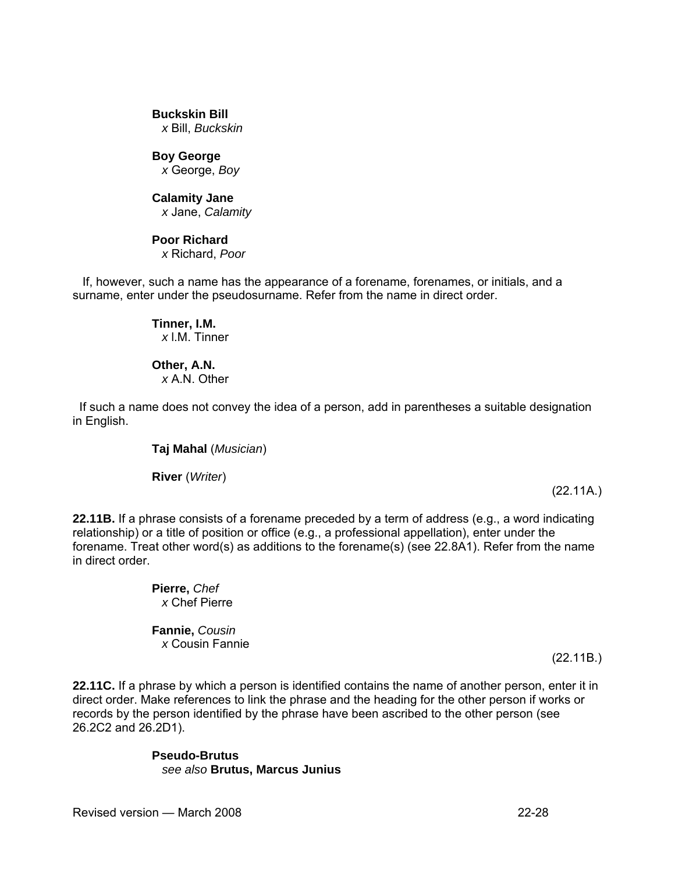**Buckskin Bill**  *x* Bill, *Buckskin* 

**Boy George**  *x* George, *Boy* 

**Calamity Jane**  *x* Jane, *Calamity*

**Poor Richard**  *x* Richard, *Poor*

 If, however, such a name has the appearance of a forename, forenames, or initials, and a surname, enter under the pseudosurname. Refer from the name in direct order.

**Tinner, I.M.** 

*x* l.M. Tinner

**Other, A.N.** 

*x* A.N. Other

 If such a name does not convey the idea of a person, add in parentheses a suitable designation in English.

**Taj Mahal** (*Musician*)

**River** (*Writer*)

(22.11A.)

**22.11B.** If a phrase consists of a forename preceded by a term of address (e.g., a word indicating relationship) or a title of position or office (e.g., a professional appellation), enter under the forename. Treat other word(s) as additions to the forename(s) (see 22.8A1). Refer from the name in direct order.

> **Pierre,** *Chef x* Chef Pierre

**Fannie,** *Cousin x* Cousin Fannie

(22.11B.)

**22.11C.** If a phrase by which a person is identified contains the name of another person, enter it in direct order. Make references to link the phrase and the heading for the other person if works or records by the person identified by the phrase have been ascribed to the other person (see 26.2C2 and 26.2D1).

> **Pseudo-Brutus**   *see also* **Brutus, Marcus Junius**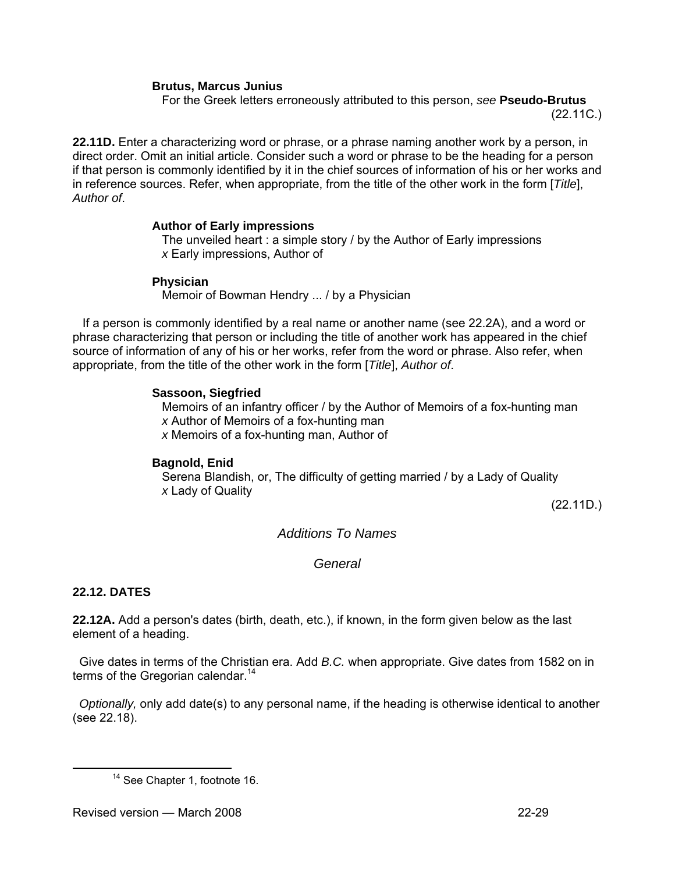#### **Brutus, Marcus Junius**

 For the Greek letters erroneously attributed to this person, *see* **Pseudo-Brutus**  (22.11C.)

**22.11D.** Enter a characterizing word or phrase, or a phrase naming another work by a person, in direct order. Omit an initial article. Consider such a word or phrase to be the heading for a person if that person is commonly identified by it in the chief sources of information of his or her works and in reference sources. Refer, when appropriate, from the title of the other work in the form [*Title*], *Author of*.

#### **Author of Early impressions**

 The unveiled heart : a simple story / by the Author of Early impressions *x* Early impressions, Author of

#### **Physician**

Memoir of Bowman Hendry ... / by a Physician

 If a person is commonly identified by a real name or another name (see 22.2A), and a word or phrase characterizing that person or including the title of another work has appeared in the chief source of information of any of his or her works, refer from the word or phrase. Also refer, when appropriate, from the title of the other work in the form [*Title*], *Author of*.

#### **Sassoon, Siegfried**

 Memoirs of an infantry officer / by the Author of Memoirs of a fox-hunting man *x* Author of Memoirs of a fox-hunting man *x* Memoirs of a fox-hunting man, Author of

#### **Bagnold, Enid**

 Serena Blandish, or, The difficulty of getting married / by a Lady of Quality *x* Lady of Quality

(22.11D.)

*Additions To Names* 

*General*

#### **22.12. DATES**

**22.12A.** Add a person's dates (birth, death, etc.), if known, in the form given below as the last element of a heading.

 Give dates in terms of the Christian era. Add *B.C.* when appropriate. Give dates from 1582 on in terms of the Gregorian calendar.<sup>14</sup>

 *Optionally,* only add date(s) to any personal name, if the heading is otherwise identical to another (see 22.18).

<sup>&</sup>lt;sup>14</sup> See Chapter 1, footnote 16.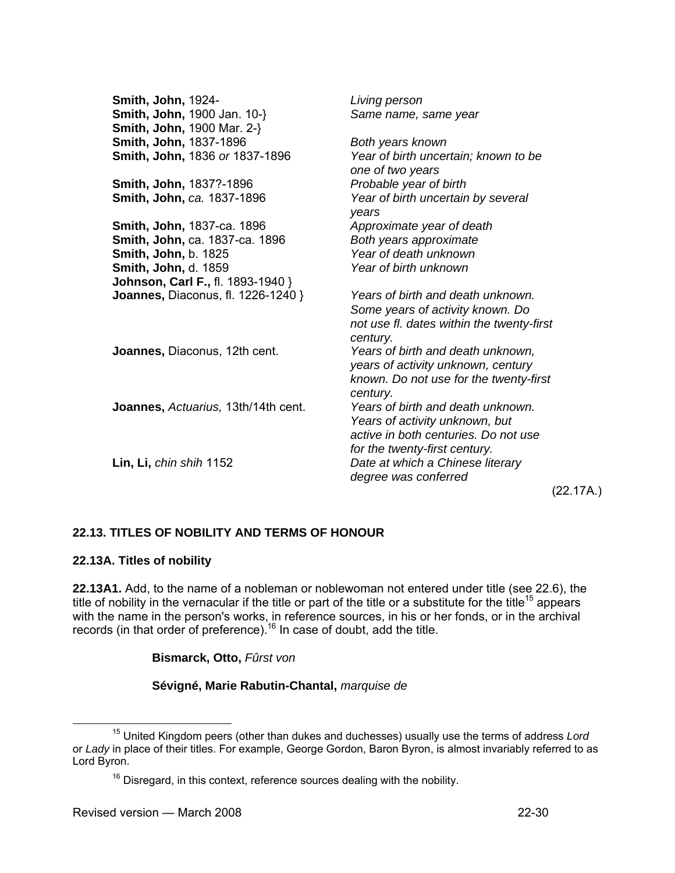| <b>Smith, John, 1924-</b><br><b>Smith, John, 1900 Jan. 10-}</b><br><b>Smith, John, 1900 Mar. 2-}</b> | Living person<br>Same name, same year     |
|------------------------------------------------------------------------------------------------------|-------------------------------------------|
| Smith, John, 1837-1896                                                                               | Both years known                          |
| Smith, John, 1836 or 1837-1896                                                                       | Year of birth uncertain; known to be      |
|                                                                                                      | one of two years                          |
| <b>Smith, John, 1837?-1896</b>                                                                       | Probable year of birth                    |
| Smith, John, ca. 1837-1896                                                                           | Year of birth uncertain by several        |
|                                                                                                      | vears                                     |
| <b>Smith, John, 1837-ca. 1896</b>                                                                    | Approximate year of death                 |
| Smith, John, ca. 1837-ca. 1896                                                                       | Both years approximate                    |
| <b>Smith, John, b. 1825</b>                                                                          | Year of death unknown                     |
| <b>Smith, John, d. 1859</b>                                                                          | Year of birth unknown                     |
| <b>Johnson, Carl F., fl. 1893-1940 }</b>                                                             |                                           |
| <b>Joannes, Diaconus, fl. 1226-1240 }</b>                                                            | Years of birth and death unknown.         |
|                                                                                                      | Some years of activity known. Do          |
|                                                                                                      | not use fl. dates within the twenty-first |
|                                                                                                      | century.                                  |
| <b>Joannes, Diaconus, 12th cent.</b>                                                                 | Years of birth and death unknown,         |
|                                                                                                      | years of activity unknown, century        |
|                                                                                                      | known. Do not use for the twenty-first    |
|                                                                                                      | century.                                  |
| Joannes, Actuarius, 13th/14th cent.                                                                  | Years of birth and death unknown.         |
|                                                                                                      | Years of activity unknown, but            |
|                                                                                                      | active in both centuries. Do not use      |
|                                                                                                      | for the twenty-first century.             |
| Lin, Li, chin shih 1152                                                                              | Date at which a Chinese literary          |
|                                                                                                      | degree was conferred                      |
|                                                                                                      | 1 ררי                                     |

(22.17A.)

#### **22.13. TITLES OF NOBILITY AND TERMS OF HONOUR**

#### **22.13A. Titles of nobility**

**22.13A1.** Add, to the name of a nobleman or noblewoman not entered under title (see 22.6), the title of nobility in the vernacular if the title or part of the title or a substitute for the title<sup>15</sup> appears with the name in the person's works, in reference sources, in his or her fonds, or in the archival records (in that order of preference).<sup>16</sup> In case of doubt, add the title.

**Bismarck, Otto,** *Fûrst von*

**Sévigné, Marie Rabutin-Chantal,** *marquise de*

 <sup>15</sup> United Kingdom peers (other than dukes and duchesses) usually use the terms of address *Lord* or *Lady* in place of their titles. For example, George Gordon, Baron Byron, is almost invariably referred to as Lord Byron.

<sup>&</sup>lt;sup>16</sup> Disregard, in this context, reference sources dealing with the nobility.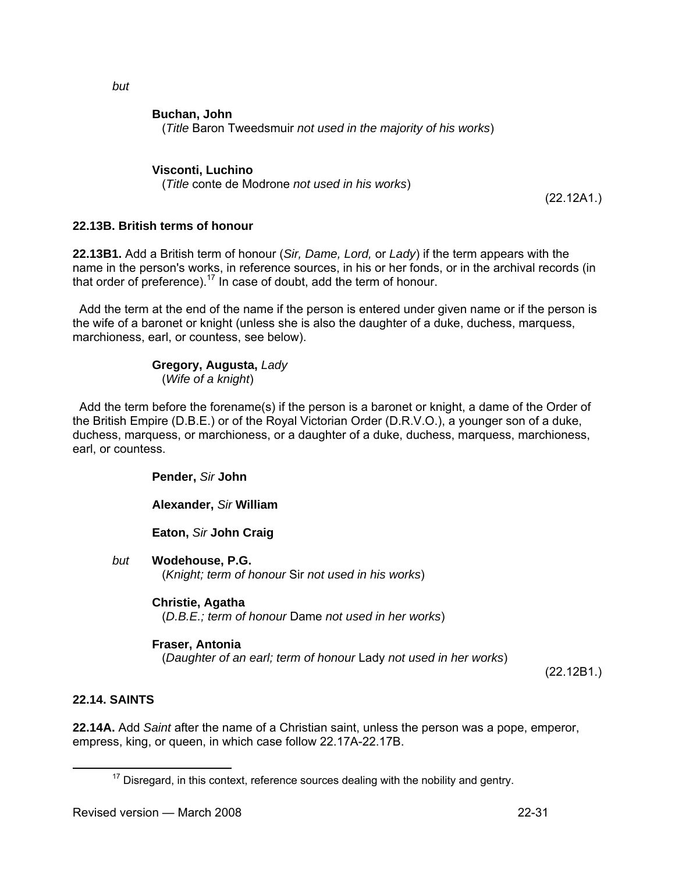**Buchan, John** 

(*Title* Baron Tweedsmuir *not used in the majority of his works*)

## **Visconti, Luchino**

(*Title* conte de Modrone *not used in his works*)

(22.12A1.)

## **22.13B. British terms of honour**

**22.13B1.** Add a British term of honour (*Sir, Dame, Lord,* or *Lady*) if the term appears with the name in the person's works, in reference sources, in his or her fonds, or in the archival records (in that order of preference).<sup>17</sup> In case of doubt, add the term of honour.

 Add the term at the end of the name if the person is entered under given name or if the person is the wife of a baronet or knight (unless she is also the daughter of a duke, duchess, marquess, marchioness, earl, or countess, see below).

## **Gregory, Augusta,** *Lady*

(*Wife of a knight*)

 Add the term before the forename(s) if the person is a baronet or knight, a dame of the Order of the British Empire (D.B.E.) or of the Royal Victorian Order (D.R.V.O.), a younger son of a duke, duchess, marquess, or marchioness, or a daughter of a duke, duchess, marquess, marchioness, earl, or countess.

 **Pender,** *Sir* **John** 

## **Alexander,** *Sir* **William**

## **Eaton,** *Sir* **John Craig**

*but* **Wodehouse, P.G.**  (*Knight; term of honour* Sir *not used in his works*)

## **Christie, Agatha**

(*D.B.E.; term of honour* Dame *not used in her works*)

## **Fraser, Antonia**

(*Daughter of an earl; term of honour* Lady *not used in her works*)

(22.12B1.)

## **22.14. SAINTS**

**22.14A.** Add *Saint* after the name of a Christian saint, unless the person was a pope, emperor, empress, king, or queen, in which case follow 22.17A-22.17B.

*but* 

 $17$  Disregard, in this context, reference sources dealing with the nobility and gentry.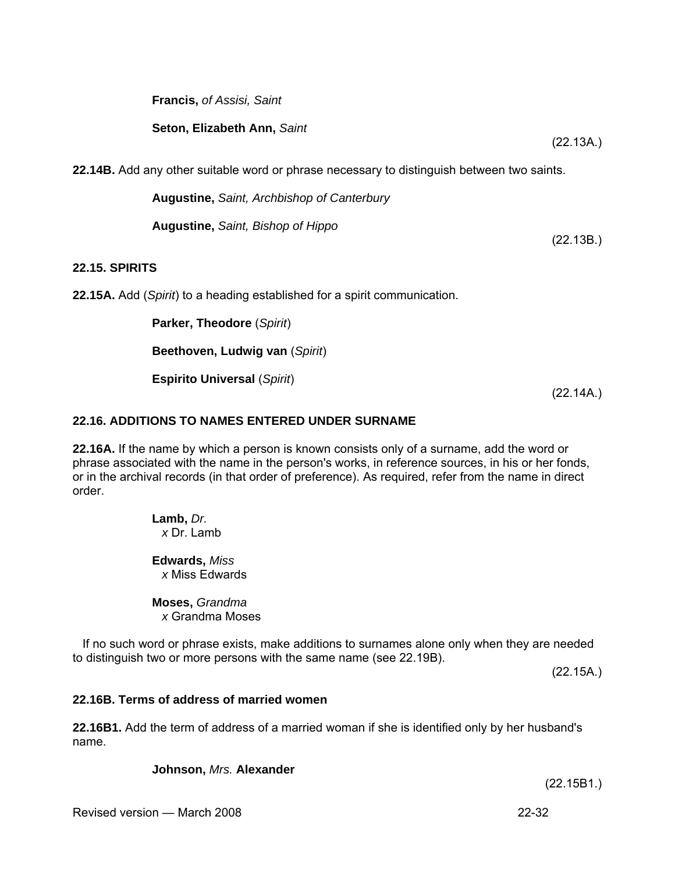**Francis,** *of Assisi, Saint*

**Seton, Elizabeth Ann,** *Saint*

**22.14B.** Add any other suitable word or phrase necessary to distinguish between two saints.

**Augustine,** *Saint, Archbishop of Canterbury*

**Augustine,** *Saint, Bishop of Hippo*

## **22.15. SPIRITS**

**22.15A.** Add (*Spirit*) to a heading established for a spirit communication.

**Parker, Theodore** (*Spirit*)

**Beethoven, Ludwig van** (*Spirit*)

**Espirito Universal** (*Spirit*)

(22.14A.)

(22.13A.)

(22.13B.)

## **22.16. ADDITIONS TO NAMES ENTERED UNDER SURNAME**

**22.16A.** If the name by which a person is known consists only of a surname, add the word or phrase associated with the name in the person's works, in reference sources, in his or her fonds, or in the archival records (in that order of preference). As required, refer from the name in direct order.

> **Lamb,** *Dr. x* Dr. Lamb

**Edwards,** *Miss x* Miss Edwards

**Moses,** *Grandma x* Grandma Moses

 If no such word or phrase exists, make additions to surnames alone only when they are needed to distinguish two or more persons with the same name (see 22.19B).

(22.15A.)

## **22.16B. Terms of address of married women**

**22.16B1.** Add the term of address of a married woman if she is identified only by her husband's name.

**Johnson,** *Mrs.* **Alexander** 

(22.15B1.)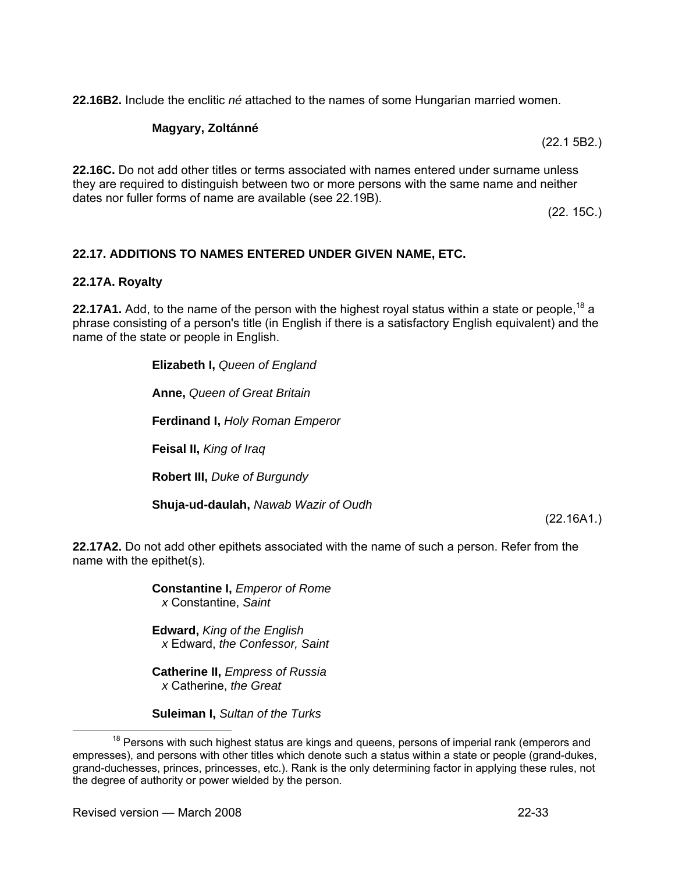**22.16B2.** Include the enclitic *né* attached to the names of some Hungarian married women.

### **Magyary, Zoltánné**

(22.1 5B2.)

**22.16C.** Do not add other titles or terms associated with names entered under surname unless they are required to distinguish between two or more persons with the same name and neither dates nor fuller forms of name are available (see 22.19B).

(22. 15C.)

## **22.17. ADDITIONS TO NAMES ENTERED UNDER GIVEN NAME, ETC.**

## **22.17A. Royalty**

**22.17A1.** Add, to the name of the person with the highest royal status within a state or people, <sup>18</sup> a phrase consisting of a person's title (in English if there is a satisfactory English equivalent) and the name of the state or people in English.

> **Elizabeth I,** *Queen of England*  **Anne,** *Queen of Great Britain*  **Ferdinand I,** *Holy Roman Emperor*  **Feisal II,** *King of Iraq*  **Robert III,** *Duke of Burgundy*  **Shuja-ud-daulah,** *Nawab Wazir of Oudh*

(22.16A1.)

**22.17A2.** Do not add other epithets associated with the name of such a person. Refer from the name with the epithet(s).

> **Constantine I,** *Emperor of Rome x* Constantine, *Saint*

**Edward,** *King of the English x* Edward, *the Confessor, Saint* 

**Catherine II,** *Empress of Russia x* Catherine, *the Great* 

**Suleiman I,** *Sultan of the Turks*

 $18$  Persons with such highest status are kings and queens, persons of imperial rank (emperors and empresses), and persons with other titles which denote such a status within a state or people (grand-dukes, grand-duchesses, princes, princesses, etc.). Rank is the only determining factor in applying these rules, not the degree of authority or power wielded by the person.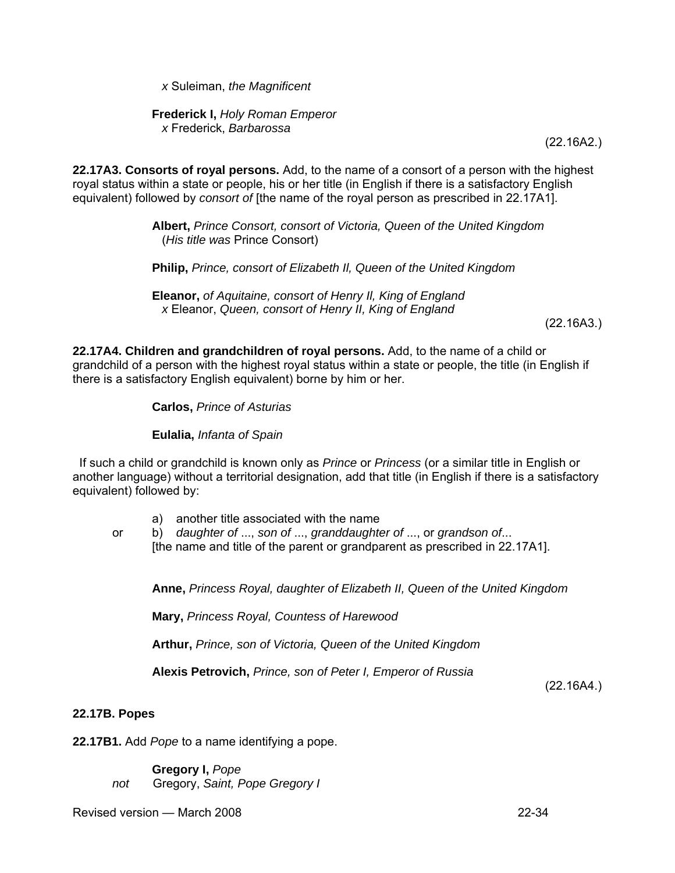*x* Suleiman, *the Magnificent*

**Frederick I,** *Holy Roman Emperor x* Frederick, *Barbarossa* 

(22.16A2.)

**22.17A3. Consorts of royal persons.** Add, to the name of a consort of a person with the highest royal status within a state or people, his or her title (in English if there is a satisfactory English equivalent) followed by *consort of* [the name of the royal person as prescribed in 22.17A1].

> **Albert,** *Prince Consort, consort of Victoria, Queen of the United Kingdom* (*His title was* Prince Consort)

**Philip,** *Prince, consort of Elizabeth Il, Queen of the United Kingdom*

**Eleanor,** *of Aquitaine, consort of Henry Il, King of England x* Eleanor, *Queen, consort of Henry II, King of England*

(22.16A3.)

**22.17A4. Children and grandchildren of royal persons.** Add, to the name of a child or grandchild of a person with the highest royal status within a state or people, the title (in English if there is a satisfactory English equivalent) borne by him or her.

**Carlos,** *Prince of Asturias*

**Eulalia,** *Infanta of Spain*

 If such a child or grandchild is known only as *Prince* or *Princess* (or a similar title in English or another language) without a territorial designation, add that title (in English if there is a satisfactory equivalent) followed by:

a) another title associated with the name

or b) *daughter of* ..., *son of* ..., *granddaughter of* ..., or *grandson of*... [the name and title of the parent or grandparent as prescribed in 22.17A1].

**Anne,** *Princess Royal, daughter of Elizabeth II, Queen of the United Kingdom*

**Mary,** *Princess Royal, Countess of Harewood*

**Arthur,** *Prince, son of Victoria, Queen of the United Kingdom*

**Alexis Petrovich,** *Prince, son of Peter I, Emperor of Russia*

(22.16A4.)

#### **22.17B. Popes**

**22.17B1.** Add *Pope* to a name identifying a pope.

 **Gregory I,** *Pope not* Gregory, *Saint, Pope Gregory I* 

Revised version — March 2008 22-34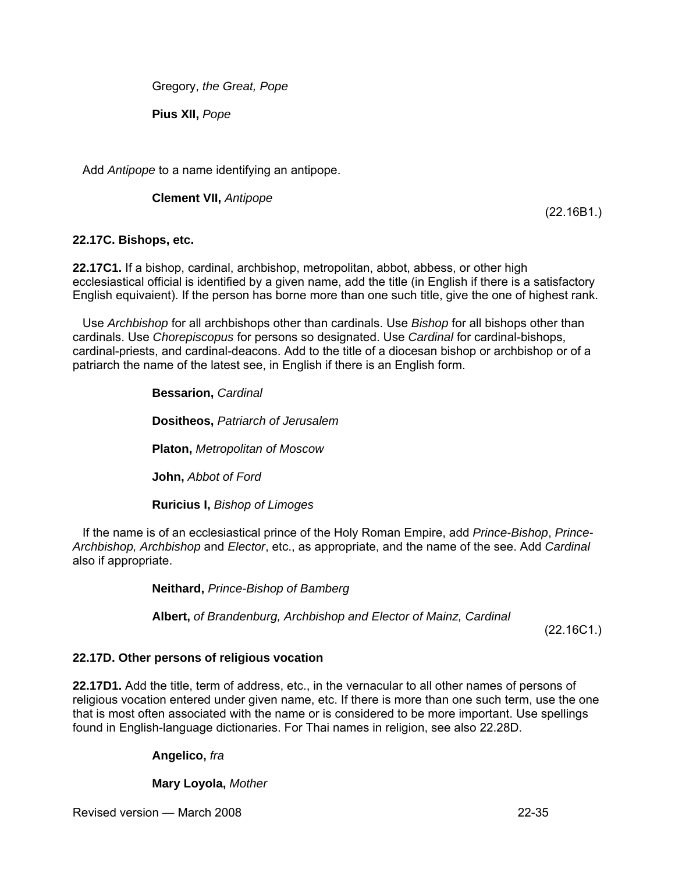Gregory, *the Great, Pope*

 **Pius XII,** *Pope*

Add *Antipope* to a name identifying an antipope.

### **Clement VII,** *Antipope*

(22.16B1.)

## **22.17C. Bishops, etc.**

**22.17C1.** If a bishop, cardinal, archbishop, metropolitan, abbot, abbess, or other high ecclesiastical official is identified by a given name, add the title (in English if there is a satisfactory English equivaient). If the person has borne more than one such title, give the one of highest rank.

 Use *Archbishop* for all archbishops other than cardinals. Use *Bishop* for all bishops other than cardinals. Use *Chorepiscopus* for persons so designated. Use *Cardinal* for cardinal-bishops, cardinal-priests, and cardinal-deacons. Add to the title of a diocesan bishop or archbishop or of a patriarch the name of the latest see, in English if there is an English form.

> **Bessarion,** *Cardinal*  **Dositheos,** *Patriarch of Jerusalem*  **Platon,** *Metropolitan of Moscow*  **John,** *Abbot of Ford*  **Ruricius I,** *Bishop of Limoges*

 If the name is of an ecclesiastical prince of the Holy Roman Empire, add *Prince-Bishop*, *Prince-Archbishop, Archbishop* and *Elector*, etc., as appropriate, and the name of the see. Add *Cardinal* also if appropriate.

**Neithard,** *Prince-Bishop of Bamberg* 

**Albert,** *of Brandenburg, Archbishop and Elector of Mainz, Cardinal* 

(22.16C1.)

#### **22.17D. Other persons of religious vocation**

**22.17D1.** Add the title, term of address, etc., in the vernacular to all other names of persons of religious vocation entered under given name, etc. If there is more than one such term, use the one that is most often associated with the name or is considered to be more important. Use spellings found in English-language dictionaries. For Thai names in religion, see also 22.28D.

**Angelico,** *fra* 

**Mary Loyola,** *Mother*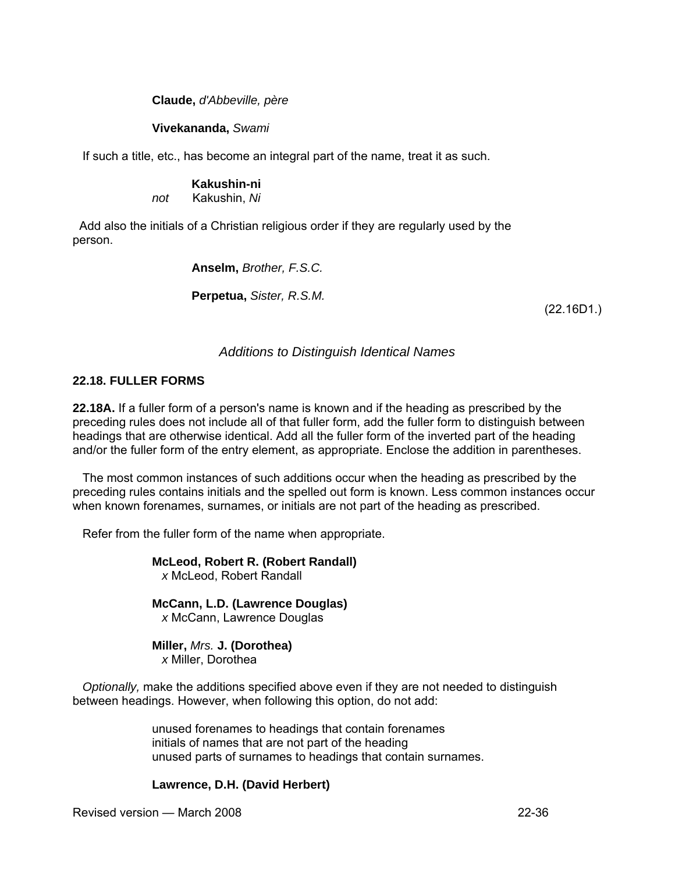**Claude,** *d'Abbeville, père* 

**Vivekananda,** *Swami*

If such a title, etc., has become an integral part of the name, treat it as such.

## **Kakushin-ni**

*not* Kakushin, *Ni*

 Add also the initials of a Christian religious order if they are regularly used by the person.

**Anselm,** *Brother, F.S.C.* 

**Perpetua,** *Sister, R.S.M.* 

(22.16D1.)

## *Additions to Distinguish Identical Names*

#### **22.18. FULLER FORMS**

**22.18A.** If a fuller form of a person's name is known and if the heading as prescribed by the preceding rules does not include all of that fuller form, add the fuller form to distinguish between headings that are otherwise identical. Add all the fuller form of the inverted part of the heading and/or the fuller form of the entry element, as appropriate. Enclose the addition in parentheses.

 The most common instances of such additions occur when the heading as prescribed by the preceding rules contains initials and the spelled out form is known. Less common instances occur when known forenames, surnames, or initials are not part of the heading as prescribed.

Refer from the fuller form of the name when appropriate.

**McLeod, Robert R. (Robert Randall)**  *x* McLeod, Robert Randall

**McCann, L.D. (Lawrence Douglas)**  *x* McCann, Lawrence Douglas

**Miller,** *Mrs.* **J. (Dorothea)**  *x* Miller, Dorothea

 *Optionally,* make the additions specified above even if they are not needed to distinguish between headings. However, when following this option, do not add:

> unused forenames to headings that contain forenames initials of names that are not part of the heading unused parts of surnames to headings that contain surnames.

#### **Lawrence, D.H. (David Herbert)**

Revised version — March 2008 22-36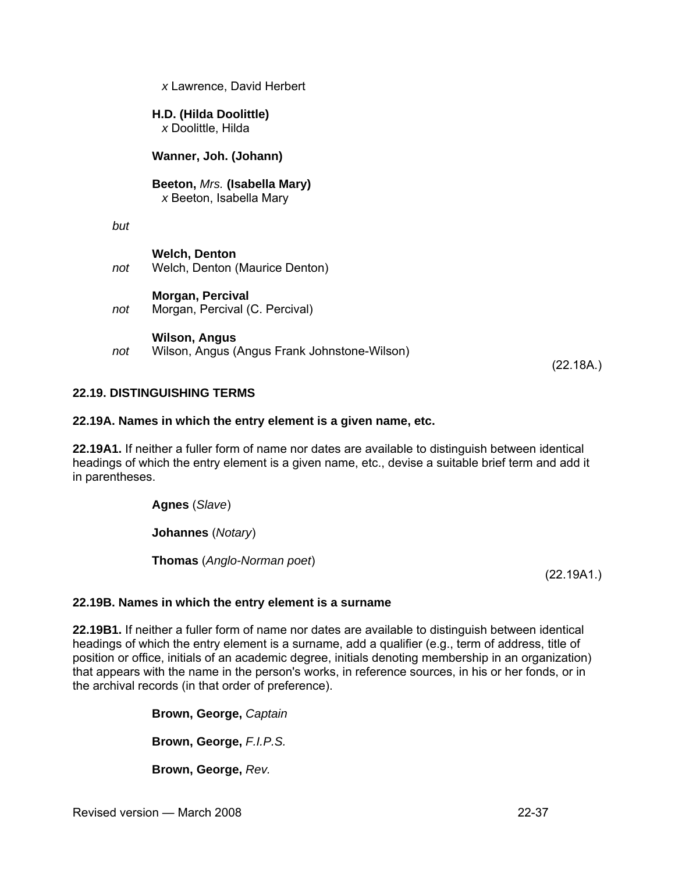*x* Lawrence, David Herbert

**H.D. (Hilda Doolittle)**  *x* Doolittle, Hilda

**Wanner, Joh. (Johann)** 

**Beeton,** *Mrs.* **(Isabella Mary)**  *x* Beeton, Isabella Mary

*but* 

 **Welch, Denton** 

*not* Welch, Denton (Maurice Denton)

**Morgan, Percival** 

*not* Morgan, Percival (C. Percival)

**Wilson, Angus** 

*not* Wilson, Angus (Angus Frank Johnstone-Wilson)

(22.18A.)

#### **22.19. DISTINGUISHING TERMS**

#### **22.19A. Names in which the entry element is a given name, etc.**

**22.19A1.** If neither a fuller form of name nor dates are available to distinguish between identical headings of which the entry element is a given name, etc., devise a suitable brief term and add it in parentheses.

**Agnes** (*Slave*)

**Johannes** (*Notary*)

**Thomas** (*Anglo-Norman poet*)

(22.19A1.)

#### **22.19B. Names in which the entry element is a surname**

**22.19B1.** If neither a fuller form of name nor dates are available to distinguish between identical headings of which the entry element is a surname, add a qualifier (e.g., term of address, title of position or office, initials of an academic degree, initials denoting membership in an organization) that appears with the name in the person's works, in reference sources, in his or her fonds, or in the archival records (in that order of preference).

**Brown, George,** *Captain* 

**Brown, George,** *F.I.P.S.*

**Brown, George,** *Rev.*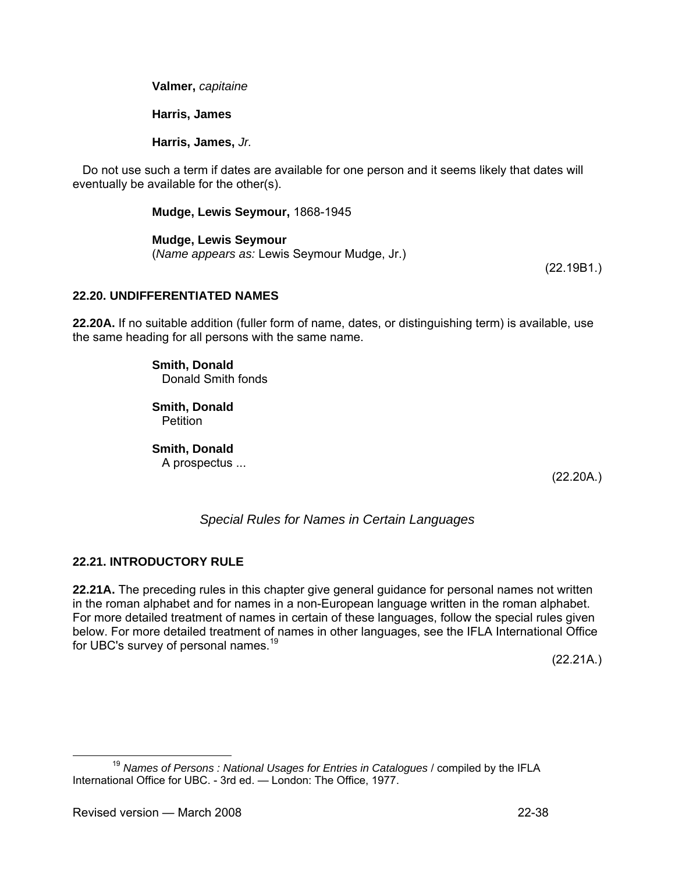**Valmer,** *capitaine*

**Harris, James** 

**Harris, James,** *Jr.*

 Do not use such a term if dates are available for one person and it seems likely that dates will eventually be available for the other(s).

**Mudge, Lewis Seymour,** 1868-1945

**Mudge, Lewis Seymour**  (*Name appears as:* Lewis Seymour Mudge, Jr.)

(22.19B1.)

## **22.20. UNDIFFERENTIATED NAMES**

**22.20A.** If no suitable addition (fuller form of name, dates, or distinguishing term) is available, use the same heading for all persons with the same name.

> **Smith, Donald**  Donald Smith fonds

**Smith, Donald**  Petition

**Smith, Donald**  A prospectus ...

(22.20A.)

*Special Rules for Names in Certain Languages* 

## **22.21. INTRODUCTORY RULE**

**22.21A.** The preceding rules in this chapter give general guidance for personal names not written in the roman alphabet and for names in a non-European language written in the roman alphabet. For more detailed treatment of names in certain of these languages, follow the special rules given below. For more detailed treatment of names in other languages, see the IFLA International Office for UBC's survey of personal names.<sup>19</sup>

(22.21A.)

 <sup>19</sup> *Names of Persons : National Usages for Entries in Catalogues* / compiled by the IFLA International Office for UBC. - 3rd ed. — London: The Office, 1977.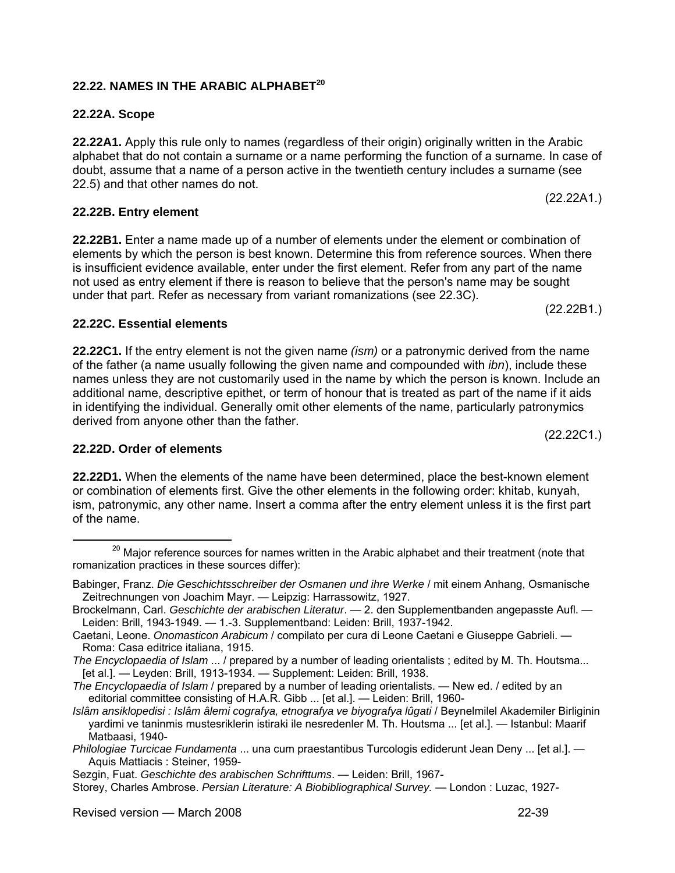# Revised version — March 2008 22-39

## **22.22. NAMES IN THE ARABIC ALPHABET<sup>20</sup>**

## **22.22A. Scope**

**22.22A1.** Apply this rule only to names (regardless of their origin) originally written in the Arabic alphabet that do not contain a surname or a name performing the function of a surname. In case of doubt, assume that a name of a person active in the twentieth century includes a surname (see 22.5) and that other names do not.

## **22.22B. Entry element**

**22.22B1.** Enter a name made up of a number of elements under the element or combination of elements by which the person is best known. Determine this from reference sources. When there is insufficient evidence available, enter under the first element. Refer from any part of the name not used as entry element if there is reason to believe that the person's name may be sought under that part. Refer as necessary from variant romanizations (see 22.3C). (22.22B1.)

#### **22.22C. Essential elements**

**22.22C1.** If the entry element is not the given name *(ism)* or a patronymic derived from the name of the father (a name usually following the given name and compounded with *ibn*), include these names unless they are not customarily used in the name by which the person is known. Include an additional name, descriptive epithet, or term of honour that is treated as part of the name if it aids in identifying the individual. Generally omit other elements of the name, particularly patronymics derived from anyone other than the father.

#### **22.22D. Order of elements**

**22.22D1.** When the elements of the name have been determined, place the best-known element or combination of elements first. Give the other elements in the following order: khitab, kunyah, ism, patronymic, any other name. Insert a comma after the entry element unless it is the first part of the name.

(22.22A1.)

(22.22C1.)

<sup>&</sup>lt;sup>20</sup> Maior reference sources for names written in the Arabic alphabet and their treatment (note that romanization practices in these sources differ):

Babinger, Franz. *Die Geschichtsschreiber der Osmanen und ihre Werke* / mit einem Anhang, Osmanische Zeitrechnungen von Joachim Mayr. — Leipzig: Harrassowitz, 1927.

Brockelmann, Carl. *Geschichte der arabischen Literatur*. — 2. den Supplementbanden angepasste Aufl. — Leiden: Brill, 1943-1949. — 1.-3. Supplementband: Leiden: Brill, 1937-1942.

Caetani, Leone. *Onomasticon Arabicum* / compilato per cura di Leone Caetani e Giuseppe Gabrieli. — Roma: Casa editrice italiana, 1915.

*The Encyclopaedia of Islam* ... / prepared by a number of leading orientalists ; edited by M. Th. Houtsma... [et al.]. — Leyden: Brill, 1913-1934. — Supplement: Leiden: Brill, 1938.

*The Encyclopaedia of Islam* / prepared by a number of leading orientalists. — New ed. / edited by an editorial committee consisting of H.A.R. Gibb ... [et al.]. — Leiden: Brill, 1960-

*Islâm ansiklopedisi : Islâm âlemi cografya, etnografya ve biyografya lûgati* / Beynelmilel Akademiler Birliginin yardimi ve taninmis mustesriklerin istiraki ile nesredenler M. Th. Houtsma ... [et al.]. — Istanbul: Maarif Matbaasi, 1940-

*Philologiae Turcicae Fundamenta* ... una cum praestantibus Turcologis ediderunt Jean Deny ... [et al.]. — Aquis Mattiacis : Steiner, 1959-

Sezgin, Fuat. *Geschichte des arabischen Schrifttums*. — Leiden: Brill, 1967- Storey, Charles Ambrose. *Persian Literature: A Biobibliographical Survey.* — London : Luzac, 1927-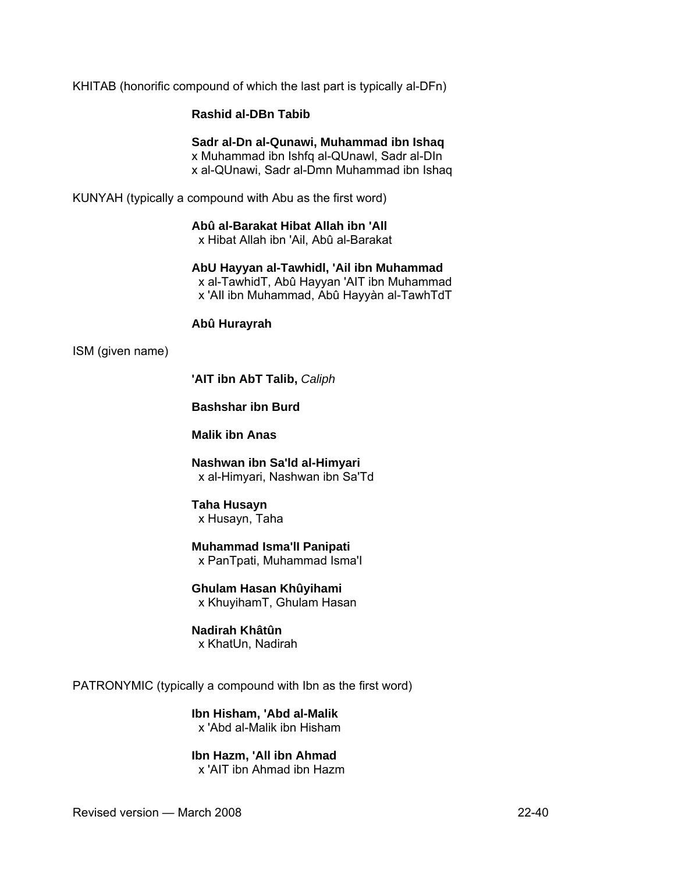KHITAB (honorific compound of which the last part is typically al-DFn)

#### **Rashid al-DBn Tabib**

**Sadr al-Dn al-Qunawi, Muhammad ibn Ishaq**  x Muhammad ibn Ishfq al-QUnawl, Sadr al-DIn x al-QUnawi, Sadr al-Dmn Muhammad ibn Ishaq

KUNYAH (typically a compound with Abu as the first word)

**Abû al-Barakat Hibat Allah ibn 'All** 

x Hibat Allah ibn 'Ail, Abû al-Barakat

**AbU Hayyan al-Tawhidl, 'Ail ibn Muhammad**  x al-TawhidT, Abû Hayyan 'AIT ibn Muhammad x 'AIl ibn Muhammad, Abû Hayyàn al-TawhTdT

#### **Abû Hurayrah**

ISM (given name)

**'AIT ibn AbT Talib,** *Caliph* 

**Bashshar ibn Burd** 

**Malik ibn Anas** 

**Nashwan ibn Sa'ld al-Himyari**  x al-Himyari, Nashwan ibn Sa'Td

**Taha Husayn**  x Husayn, Taha

**Muhammad Isma'lI Panipati**  x PanTpati, Muhammad Isma'I

**Ghulam Hasan Khûyihami**  x KhuyihamT, Ghulam Hasan

**Nadirah Khâtûn**  x KhatUn, Nadirah

PATRONYMIC (typically a compound with Ibn as the first word)

**Ibn Hisham, 'Abd al-Malik**  x 'Abd al-Malik ibn Hisham

**Ibn Hazm, 'All ibn Ahmad**  x 'AIT ibn Ahmad ibn Hazm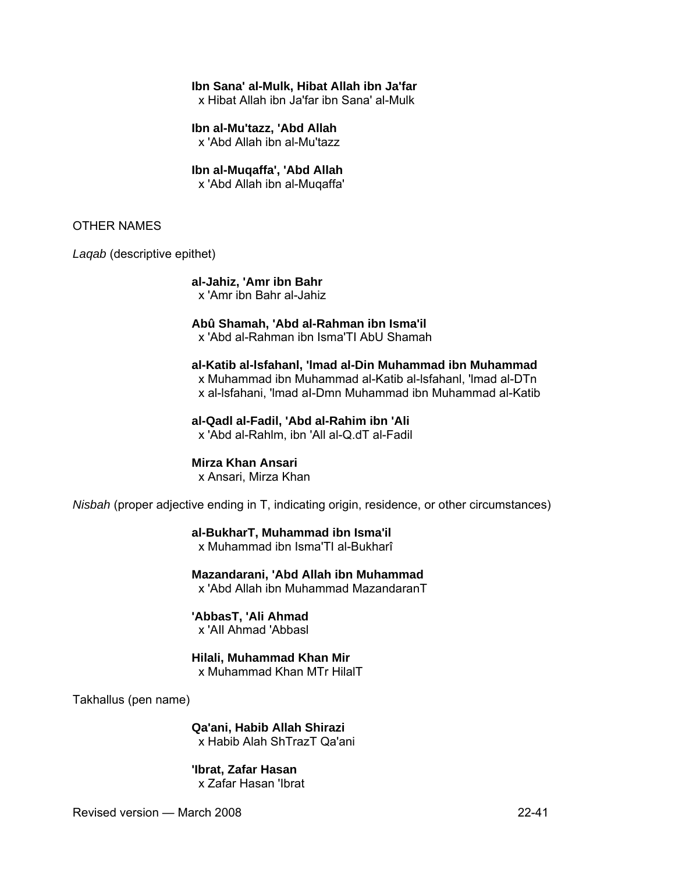#### **Ibn Sana' al-Mulk, Hibat Allah ibn Ja'far**

x Hibat Allah ibn Ja'far ibn Sana' al-Mulk

#### **Ibn al-Mu'tazz, 'Abd Allah**

x 'Abd Allah ibn al-Mu'tazz

#### **Ibn al-Muqaffa', 'Abd Allah**

x 'Abd Allah ibn al-Muqaffa'

#### OTHER NAMES

*Laqab* (descriptive epithet)

#### **al-Jahiz, 'Amr ibn Bahr**

x 'Amr ibn Bahr al-Jahiz

#### **Abû Shamah, 'Abd al-Rahman ibn Isma'il**

x 'Abd al-Rahman ibn Isma'TI AbU Shamah

#### **al-Katib al-lsfahanl, 'lmad al-Din Muhammad ibn Muhammad**  x Muhammad ibn Muhammad al-Katib al-lsfahanl, 'lmad al-DTn x al-lsfahani, 'lmad aI-Dmn Muhammad ibn Muhammad al-Katib

#### **al-Qadl al-Fadil, 'Abd al-Rahim ibn 'Ali**

x 'Abd al-Rahlm, ibn 'All al-Q.dT al-Fadil

#### **Mirza Khan Ansari**

x Ansari, Mirza Khan

*Nisbah* (proper adjective ending in T, indicating origin, residence, or other circumstances)

#### **al-BukharT, Muhammad ibn Isma'il**

x Muhammad ibn Isma'TI al-Bukharî

**Mazandarani, 'Abd Allah ibn Muhammad**  x 'Abd Allah ibn Muhammad MazandaranT

#### **'AbbasT, 'Ali Ahmad**  x 'AIl Ahmad 'Abbasl

#### **Hilali, Muhammad Khan Mir**

x Muhammad Khan MTr HilalT

Takhallus (pen name)

**Qa'ani, Habib Allah Shirazi**  x Habib Alah ShTrazT Qa'ani

#### **'Ibrat, Zafar Hasan**  x Zafar Hasan 'Ibrat

Revised version — March 2008 22-41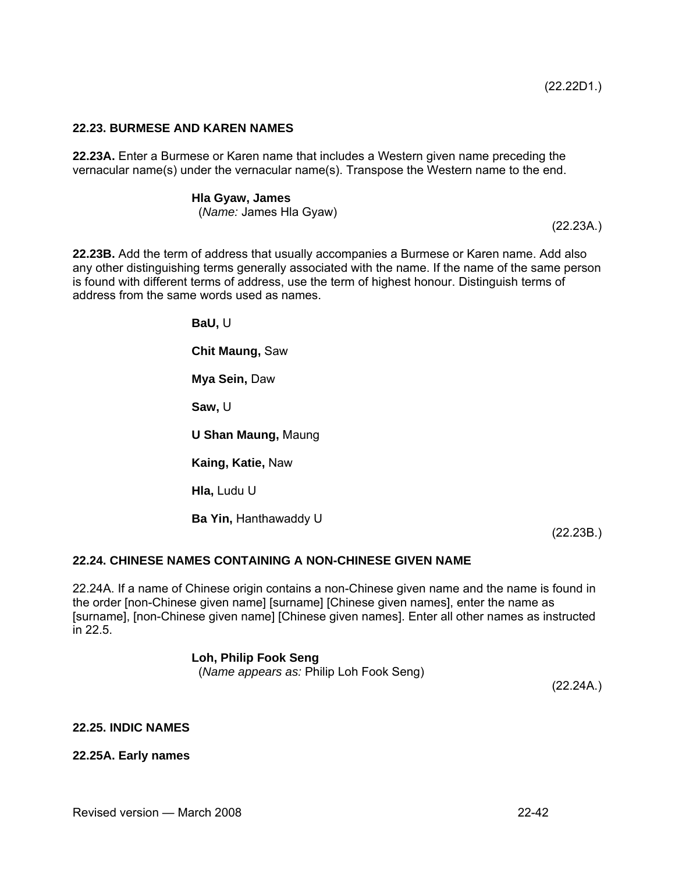#### **22.23. BURMESE AND KAREN NAMES**

**22.23A.** Enter a Burmese or Karen name that includes a Western given name preceding the vernacular name(s) under the vernacular name(s). Transpose the Western name to the end.

#### **Hla Gyaw, James**  (*Name:* James Hla Gyaw)

(22.23A.)

**22.23B.** Add the term of address that usually accompanies a Burmese or Karen name. Add also any other distinguishing terms generally associated with the name. If the name of the same person is found with different terms of address, use the term of highest honour. Distinguish terms of address from the same words used as names.

> **BaU,** U **Chit Maung,** Saw **Mya Sein,** Daw **Saw,** U **U Shan Maung,** Maung **Kaing, Katie,** Naw **Hla,** Ludu U

**Ba Yin,** Hanthawaddy U

(22.23B.)

### **22.24. CHINESE NAMES CONTAINING A NON-CHINESE GIVEN NAME**

22.24A. If a name of Chinese origin contains a non-Chinese given name and the name is found in the order [non-Chinese given name] [surname] [Chinese given names], enter the name as [surname], [non-Chinese given name] [Chinese given names]. Enter all other names as instructed in 22.5.

> **Loh, Philip Fook Seng**  (*Name appears as:* Philip Loh Fook Seng)

> > (22.24A.)

#### **22.25. INDIC NAMES**

**22.25A. Early names**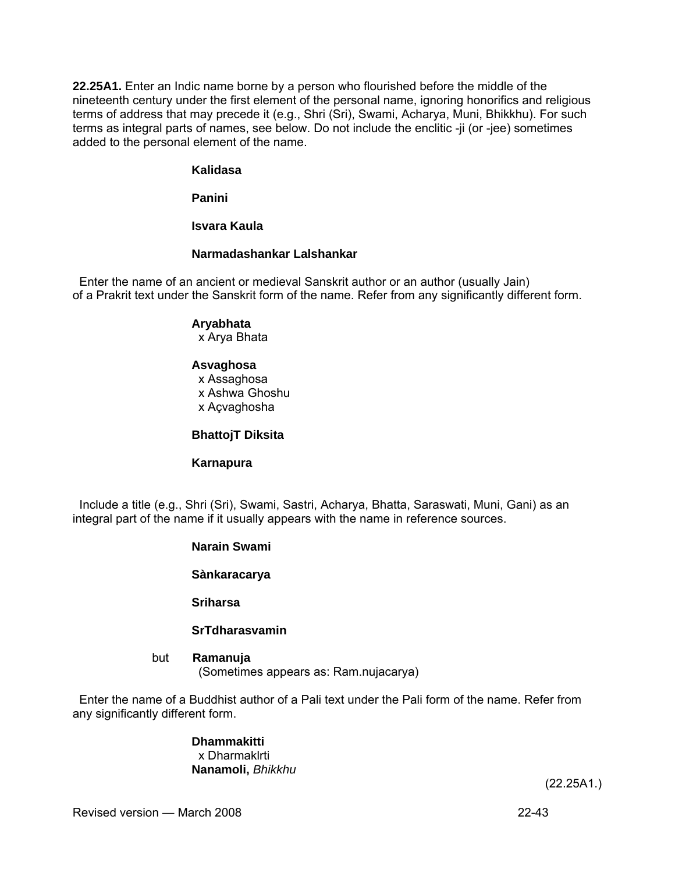**22.25A1.** Enter an Indic name borne by a person who flourished before the middle of the nineteenth century under the first element of the personal name, ignoring honorifics and religious terms of address that may precede it (e.g., Shri (Sri), Swami, Acharya, Muni, Bhikkhu). For such terms as integral parts of names, see below. Do not include the enclitic -ji (or -jee) sometimes added to the personal element of the name.

#### **Kalidasa**

**Panini** 

#### **Isvara Kaula**

#### **Narmadashankar Lalshankar**

 Enter the name of an ancient or medieval Sanskrit author or an author (usually Jain) of a Prakrit text under the Sanskrit form of the name. Refer from any significantly different form.

#### **Aryabhata**

x Arya Bhata

#### **Asvaghosa**

 x Assaghosa x Ashwa Ghoshu x Açvaghosha

#### **BhattojT Diksita**

#### **Karnapura**

 Include a title (e.g., Shri (Sri), Swami, Sastri, Acharya, Bhatta, Saraswati, Muni, Gani) as an integral part of the name if it usually appears with the name in reference sources.

**Narain Swami** 

**Sànkaracarya** 

**Sriharsa** 

#### **SrTdharasvamin**

but **Ramanuja**  (Sometimes appears as: Ram.nujacarya)

 Enter the name of a Buddhist author of a Pali text under the Pali form of the name. Refer from any significantly different form.

> **Dhammakitti**  x Dharmaklrti **Nanamoli,** *Bhikkhu*

(22.25A1.)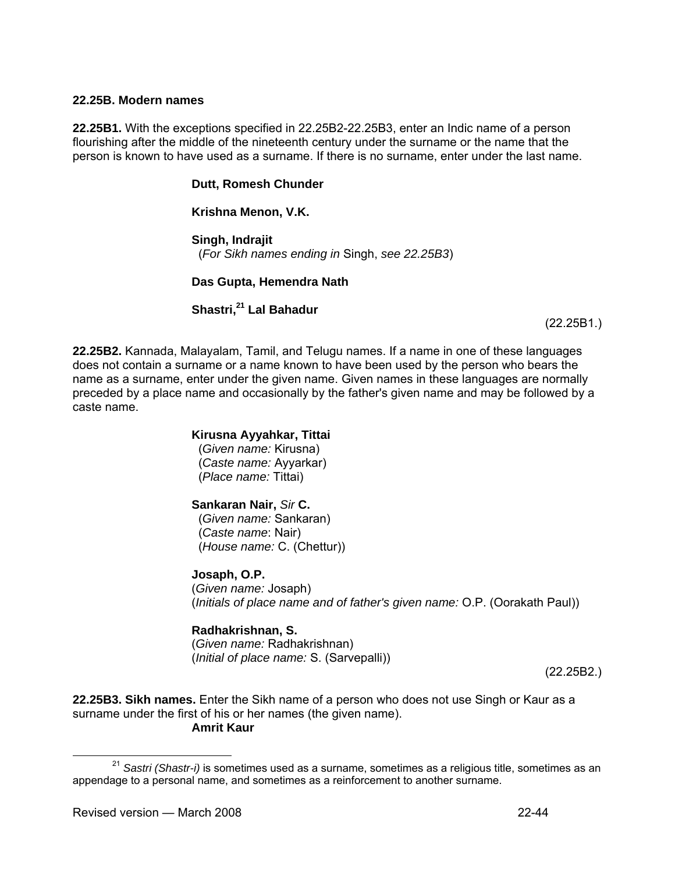#### **22.25B. Modern names**

**22.25B1.** With the exceptions specified in 22.25B2-22.25B3, enter an Indic name of a person flourishing after the middle of the nineteenth century under the surname or the name that the person is known to have used as a surname. If there is no surname, enter under the last name.

#### **Dutt, Romesh Chunder**

**Krishna Menon, V.K.** 

**Singh, Indrajit**  (*For Sikh names ending in* Singh, *see 22.25B3*)

**Das Gupta, Hemendra Nath** 

**Shastri,21 Lal Bahadur** 

(22.25B1.)

**22.25B2.** Kannada, Malayalam, Tamil, and Telugu names. If a name in one of these languages does not contain a surname or a name known to have been used by the person who bears the name as a surname, enter under the given name. Given names in these languages are normally preceded by a place name and occasionally by the father's given name and may be followed by a caste name.

#### **Kirusna Ayyahkar, Tittai**

 (*Given name:* Kirusna) (*Caste name:* Ayyarkar) (*Place name:* Tittai)

#### **Sankaran Nair,** *Sir* **C.**

 (*Given name:* Sankaran) (*Caste name*: Nair) (*House name:* C. (Chettur))

#### **Josaph, O.P.**

(*Given name:* Josaph) (*Initials of place name and of father's given name:* O.P. (Oorakath Paul))

#### **Radhakrishnan, S.**

(*Given name:* Radhakrishnan) (*Initial of place name:* S. (Sarvepalli))

(22.25B2.)

**22.25B3. Sikh names.** Enter the Sikh name of a person who does not use Singh or Kaur as a surname under the first of his or her names (the given name). **Amrit Kaur** 

 <sup>21</sup> *Sastri (Shastr-i)* is sometimes used as a surname, sometimes as a religious title, sometimes as an appendage to a personal name, and sometimes as a reinforcement to another surname.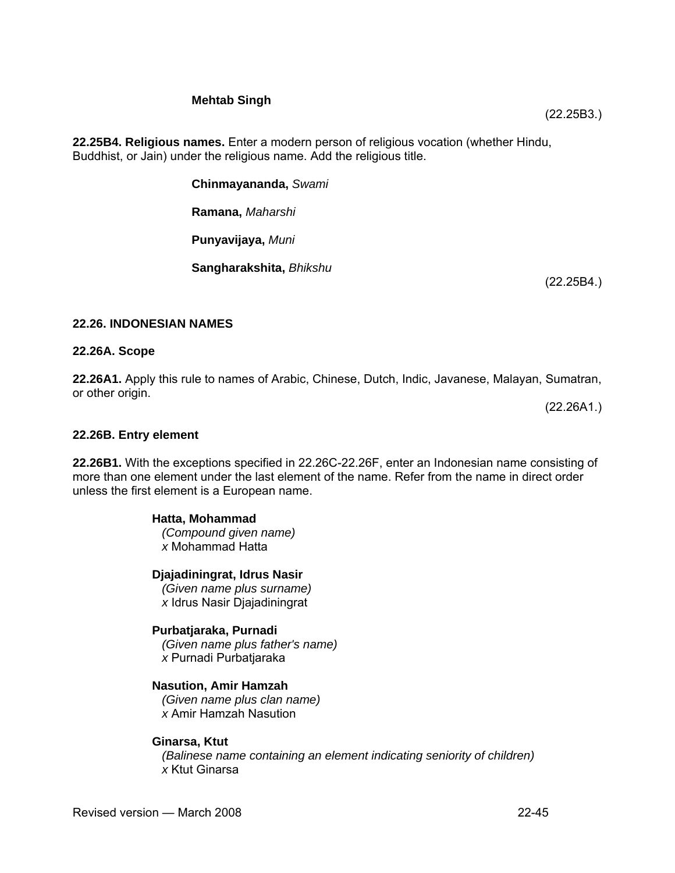#### **Mehtab Singh**

**22.25B4. Religious names.** Enter a modern person of religious vocation (whether Hindu,

Buddhist, or Jain) under the religious name. Add the religious title.

**Chinmayananda,** *Swami*  **Ramana,** *Maharshi* **Punyavijaya,** *Muni* 

**Sangharakshita,** *Bhikshu*

(22.25B4.)

#### **22.26. INDONESIAN NAMES**

#### **22.26A. Scope**

**22.26A1.** Apply this rule to names of Arabic, Chinese, Dutch, Indic, Javanese, Malayan, Sumatran, or other origin.

(22.26A1.)

#### **22.26B. Entry element**

**22.26B1.** With the exceptions specified in 22.26C-22.26F, enter an Indonesian name consisting of more than one element under the last element of the name. Refer from the name in direct order unless the first element is a European name.

#### **Hatta, Mohammad**

 *(Compound given name) x* Mohammad Hatta

#### **Djajadiningrat, Idrus Nasir**

*(Given name plus surname) x* Idrus Nasir Djajadiningrat

#### **Purbatjaraka, Purnadi**

 *(Given name plus father's name) x* Purnadi Purbatjaraka

#### **Nasution, Amir Hamzah**

 *(Given name plus clan name) x* Amir Hamzah Nasution

#### **Ginarsa, Ktut**

 *(Balinese name containing an element indicating seniority of children) x* Ktut Ginarsa

(22.25B3.)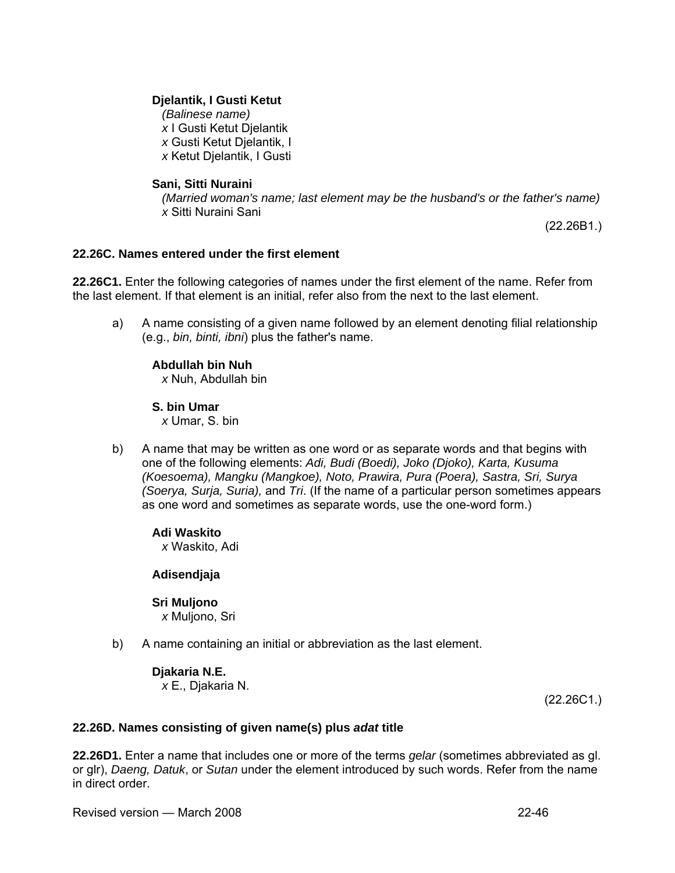### **Djelantik, I Gusti Ketut**

 *(Balinese name) x* I Gusti Ketut Djelantik *x* Gusti Ketut Djelantik, I *x* Ketut Djelantik, I Gusti

#### **Sani, Sitti Nuraini**

*(Married woman's name; last element may be the husband's or the father's name) x* Sitti Nuraini Sani

(22.26B1.)

#### **22.26C. Names entered under the first element**

**22.26C1.** Enter the following categories of names under the first element of the name. Refer from the last element. If that element is an initial, refer also from the next to the last element.

a) A name consisting of a given name followed by an element denoting filial relationship (e.g., *bin, binti, ibni*) plus the father's name.

#### **Abdullah bin Nuh**

*x* Nuh, Abdullah bin

#### **S. bin Umar**

*x* Umar, S. bin

b) A name that may be written as one word or as separate words and that begins with one of the following elements: *Adi, Budi (Boedi), Joko (Djoko), Karta, Kusuma (Koesoema), Mangku (Mangkoe), Noto, Prawira, Pura (Poera), Sastra, Sri, Surya (Soerya, Surja, Suria),* and *Tri*. (If the name of a particular person sometimes appears as one word and sometimes as separate words, use the one-word form.)

#### **Adi Waskito**

*x* Waskito, Adi

#### **Adisendjaja**

#### **Sri Muljono**

*x* Muljono, Sri

b) A name containing an initial or abbreviation as the last element.

#### **Djakaria N.E.**

*x* E., Djakaria N.

(22.26C1.)

#### **22.26D. Names consisting of given name(s) plus** *adat* **title**

**22.26D1.** Enter a name that includes one or more of the terms *gelar* (sometimes abbreviated as gl. or glr), *Daeng, Datuk*, or *Sutan* under the element introduced by such words. Refer from the name in direct order.

Revised version — March 2008 22-46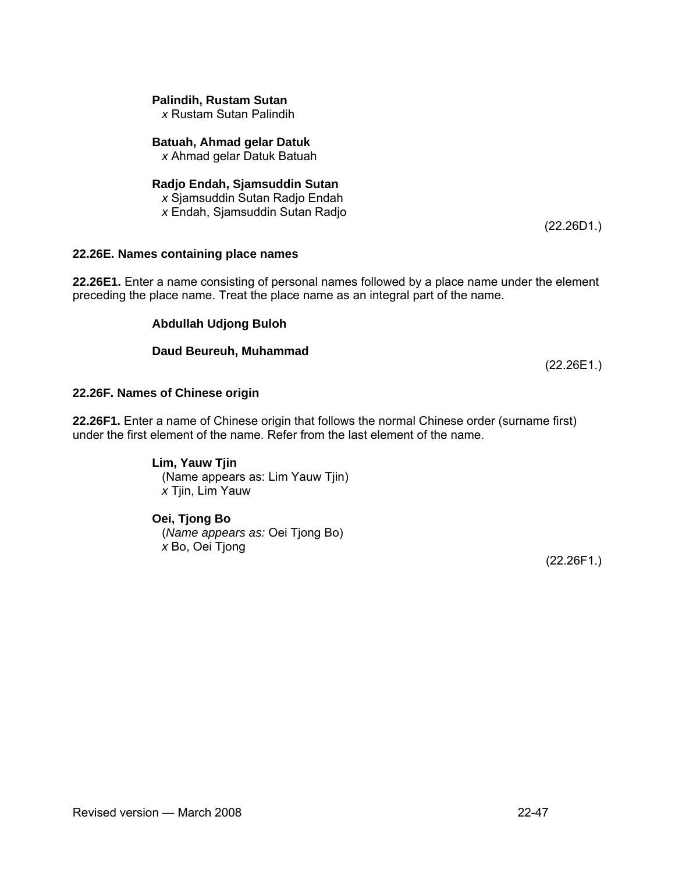#### **Palindih, Rustam Sutan**

*x* Rustam Sutan Palindih

#### **Batuah, Ahmad gelar Datuk**

*x* Ahmad gelar Datuk Batuah

#### **Radjo Endah, Sjamsuddin Sutan**

 *x* Sjamsuddin Sutan Radjo Endah *x* Endah, Sjamsuddin Sutan Radjo

(22.26D1.)

#### **22.26E. Names containing place names**

**22.26E1.** Enter a name consisting of personal names followed by a place name under the element preceding the place name. Treat the place name as an integral part of the name.

#### **Abdullah Udjong Buloh**

#### **Daud Beureuh, Muhammad**

(22.26E1.)

#### **22.26F. Names of Chinese origin**

**22.26F1.** Enter a name of Chinese origin that follows the normal Chinese order (surname first) under the first element of the name. Refer from the last element of the name.

## **Lim, Yauw Tjin**

 (Name appears as: Lim Yauw Tjin) *x* Tjin, Lim Yauw

## **Oei, Tjong Bo**

 (*Name appears as:* Oei Tjong Bo) *x* Bo, Oei Tjong

(22.26F1.)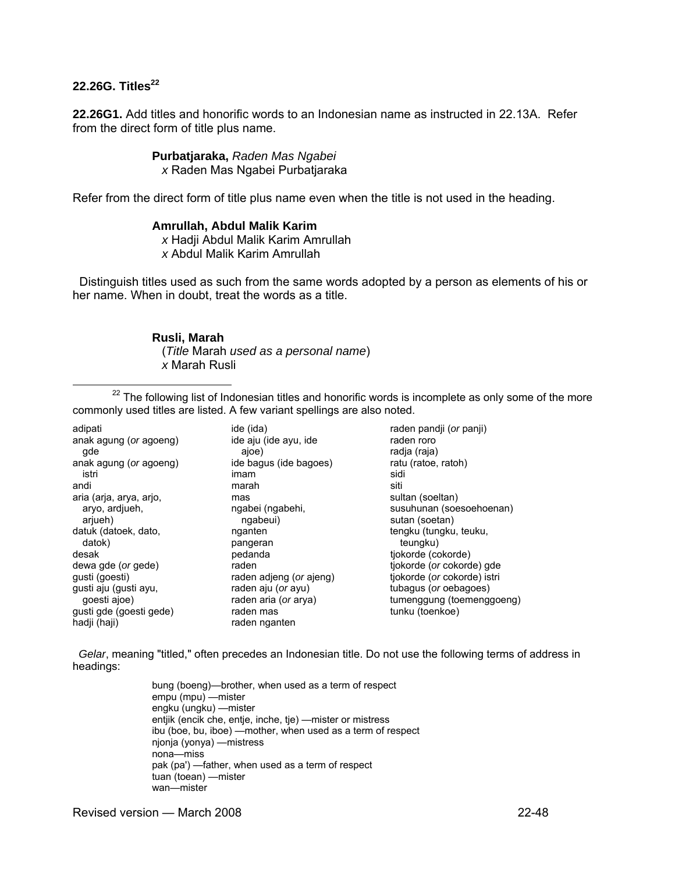## **22.26G. Titles<sup>22</sup>**

**22.26G1.** Add titles and honorific words to an Indonesian name as instructed in 22.13A. Refer from the direct form of title plus name.

#### **Purbatjaraka,** *Raden Mas Ngabei x* Raden Mas Ngabei Purbatjaraka

Refer from the direct form of title plus name even when the title is not used in the heading.

#### **Amrullah, Abdul Malik Karim**

 *x* Hadji Abdul Malik Karim Amrullah *x* Abdul Malik Karim Amrullah

 Distinguish titles used as such from the same words adopted by a person as elements of his or her name. When in doubt, treat the words as a title.

#### **Rusli, Marah**

 (*Title* Marah *used as a personal name*) *x* Marah Rusli

 $22$  The following list of Indonesian titles and honorific words is incomplete as only some of the more commonly used titles are listed. A few variant spellings are also noted.

| adipati                 | ide (ida)               | raden pandji (or panji)     |
|-------------------------|-------------------------|-----------------------------|
| anak agung (or agoeng)  | ide aju (ide ayu, ide   | raden roro                  |
| qde                     | ajoe)                   | radja (raja)                |
| anak agung (or agoeng)  | ide bagus (ide bagoes)  | ratu (ratoe, ratoh)         |
| istri                   | imam                    | sidi                        |
| andi                    | marah                   | siti                        |
| aria (arja, arya, arjo, | mas                     | sultan (soeltan)            |
| aryo, ardjueh,          | ngabei (ngabehi,        | susuhunan (soesoehoenan)    |
| arjueh)                 | ngabeui)                | sutan (soetan)              |
| datuk (datoek, dato,    | nganten                 | tengku (tungku, teuku,      |
| datok)                  | pangeran                | teungku)                    |
| desak                   | pedanda                 | tjokorde (cokorde)          |
| dewa gde (or gede)      | raden                   | tjokorde (or cokorde) gde   |
| gusti (goesti)          | raden adjeng (or ajeng) | tjokorde (or cokorde) istri |
| gusti aju (gusti ayu,   | raden aju (or ayu)      | tubagus (or oebagoes)       |
| goesti ajoe)            | raden aria (or arya)    | tumenggung (toemenggoeng)   |
| gusti gde (goesti gede) | raden mas               | tunku (toenkoe)             |
| hadji (haji)            | raden nganten           |                             |

 *Gelar*, meaning "titled," often precedes an Indonesian title. Do not use the following terms of address in headings:

> bung (boeng)—brother, when used as a term of respect empu (mpu) —mister engku (ungku) —mister entjik (encik che, entje, inche, tje) —mister or mistress ibu (boe, bu, iboe) —mother, when used as a term of respect njonja (yonya) —mistress nona—miss pak (pa') —father, when used as a term of respect tuan (toean) —mister wan—mister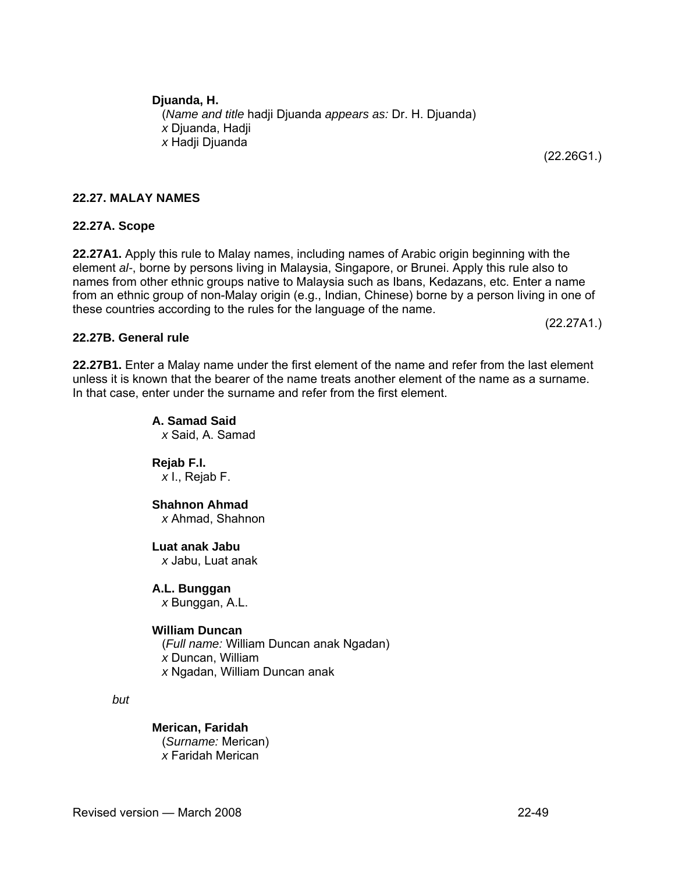#### **Djuanda, H.**

 (*Name and title* hadji Djuanda *appears as:* Dr. H. Djuanda) *x* Djuanda, Hadji *x* Hadji Djuanda

(22.26G1.)

#### **22.27. MALAY NAMES**

#### **22.27A. Scope**

**22.27A1.** Apply this rule to Malay names, including names of Arabic origin beginning with the element *al-*, borne by persons living in Malaysia, Singapore, or Brunei. Apply this rule also to names from other ethnic groups native to Malaysia such as Ibans, Kedazans, etc. Enter a name from an ethnic group of non-Malay origin (e.g., Indian, Chinese) borne by a person living in one of these countries according to the rules for the language of the name.

(22.27A1.)

#### **22.27B. General rule**

**22.27B1.** Enter a Malay name under the first element of the name and refer from the last element unless it is known that the bearer of the name treats another element of the name as a surname. In that case, enter under the surname and refer from the first element.

> **A. Samad Said**  *x* Said, A. Samad

#### **Rejab F.I.**

*x* I., Rejab F.

## **Shahnon Ahmad**

*x* Ahmad, Shahnon

**Luat anak Jabu**  *x* Jabu, Luat anak

**A.L. Bunggan**  *x* Bunggan, A.L.

#### **William Duncan**

 (*Full name:* William Duncan anak Ngadan) *x* Duncan, William *x* Ngadan, William Duncan anak

#### *but*

**Merican, Faridah**  (*Surname:* Merican)

*x* Faridah Merican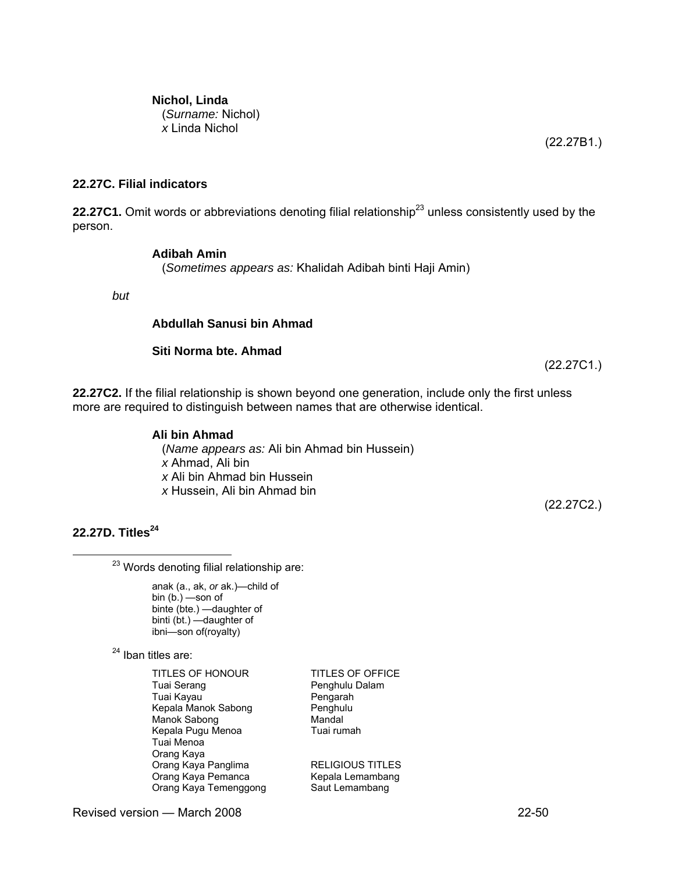**Nichol, Linda**  (*Surname:* Nichol) *x* Linda Nichol

(22.27B1.)

#### **22.27C. Filial indicators**

**22.27C1.** Omit words or abbreviations denoting filial relationship<sup>23</sup> unless consistently used by the person.

#### **Adibah Amin**

(*Sometimes appears as:* Khalidah Adibah binti Haji Amin)

*but* 

#### **Abdullah Sanusi bin Ahmad**

#### **Siti Norma bte. Ahmad**

(22.27C1.)

**22.27C2.** If the filial relationship is shown beyond one generation, include only the first unless more are required to distinguish between names that are otherwise identical.

#### **Ali bin Ahmad**

 (*Name appears as:* Ali bin Ahmad bin Hussein) *x* Ahmad, Ali bin *x* Ali bin Ahmad bin Hussein *x* Hussein, Ali bin Ahmad bin

(22.27C2.)

## **22.27D. Titles<sup>24</sup>**

<sup>23</sup> Words denoting filial relationship are:

anak (a., ak, *or* ak.)—child of bin (b.) —son of binte (bte.) —daughter of binti (bt.) —daughter of ibni—son of(royalty)

#### <sup>24</sup> Iban titles are:

TITLES OF HONOUR TITLES OF OFFICE Penghulu Dalam<br>Pengarah Tuai Kayau **Tuai Kayau Kepatah Kepatah Kepatah**<br>Kepala Manok Sabong **Pengangkang** Kepala Manok Sabong Manok Sabong Mandal Kepala Pugu Menoa Tuai rumah Tuai Menoa Orang Kaya Orang Kaya Panglima RELIGIOUS TITLES Orang Kaya Pemanca Kepala Lemambang Orang Kaya Temenggong Saut Lemambang

Revised version — March 2008 22-50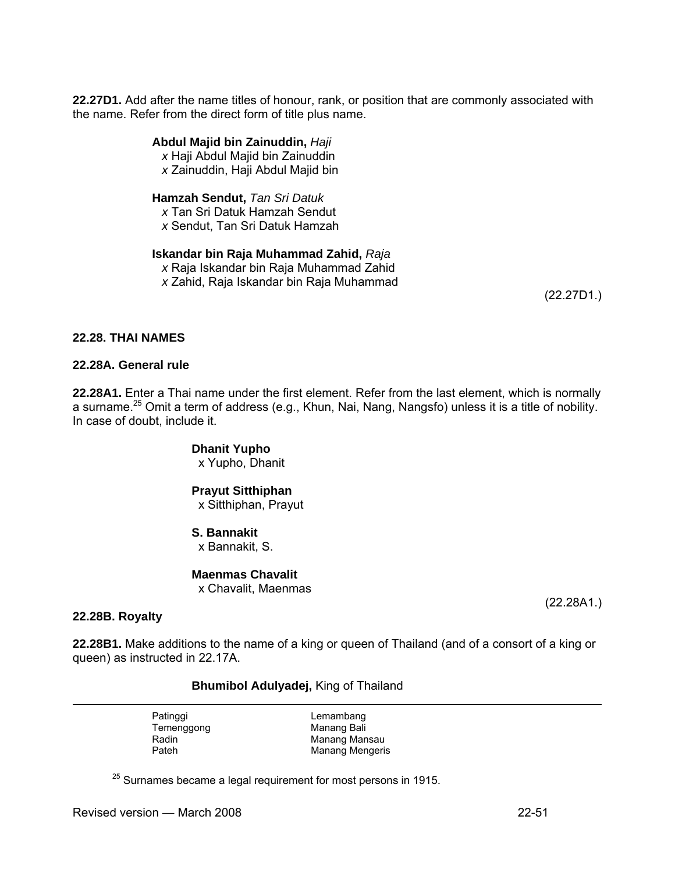**22.27D1.** Add after the name titles of honour, rank, or position that are commonly associated with the name. Refer from the direct form of title plus name.

> **Abdul Majid bin Zainuddin,** *Haji x* Haji Abdul Majid bin Zainuddin *x* Zainuddin, Haji Abdul Majid bin

**Hamzah Sendut,** *Tan Sri Datuk x* Tan Sri Datuk Hamzah Sendut *x* Sendut, Tan Sri Datuk Hamzah

**Iskandar bin Raja Muhammad Zahid,** *Raja x* Raja Iskandar bin Raja Muhammad Zahid *x* Zahid, Raja Iskandar bin Raja Muhammad

(22.27D1.)

#### **22.28. THAI NAMES**

#### **22.28A. General rule**

**22.28A1.** Enter a Thai name under the first element. Refer from the last element, which is normally a surname.<sup>25</sup> Omit a term of address (e.g., Khun, Nai, Nang, Nangsfo) unless it is a title of nobility. In case of doubt, include it.

> **Dhanit Yupho**  x Yupho, Dhanit

## **Prayut Sitthiphan**

x Sitthiphan, Prayut

## **S. Bannakit**

x Bannakit, S.

#### **Maenmas Chavalit**

x Chavalit, Maenmas

#### **22.28B. Royalty**

(22.28A1.)

**22.28B1.** Make additions to the name of a king or queen of Thailand (and of a consort of a king or queen) as instructed in 22.17A.

#### **Bhumibol Adulyadej,** King of Thailand

<u>**Example 2018**</u><br>
Patinggi **Lemambang** Temenggong Manang Bali

Radin Manang Mansau Pateh Manang Mengeris

 $25$  Surnames became a legal requirement for most persons in 1915.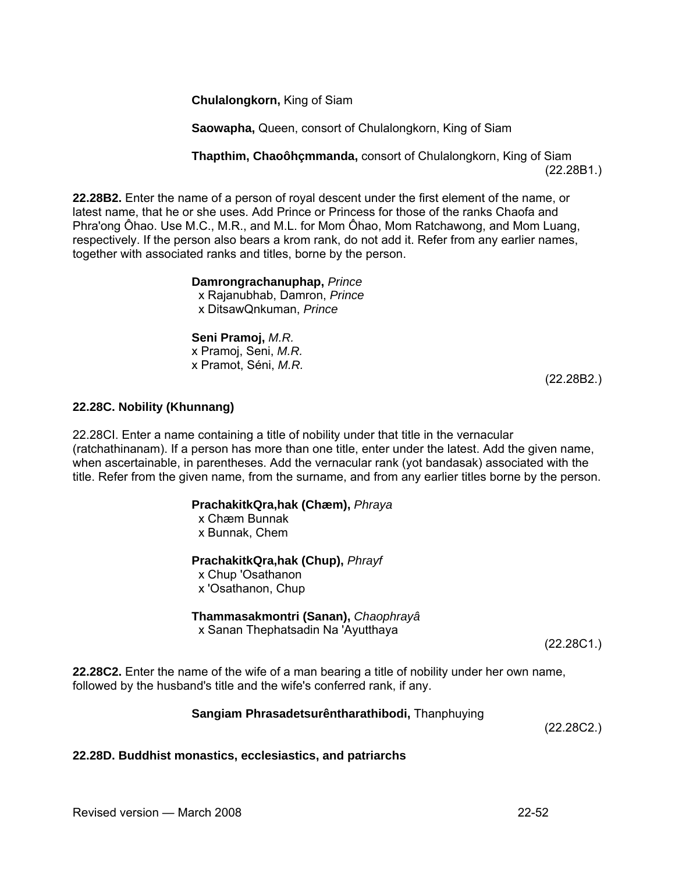#### **Chulalongkorn,** King of Siam

**Saowapha,** Queen, consort of Chulalongkorn, King of Siam

**Thapthim, Chaoôhçmmanda,** consort of Chulalongkorn, King of Siam (22.28B1.)

**22.28B2.** Enter the name of a person of royal descent under the first element of the name, or latest name, that he or she uses. Add Prince or Princess for those of the ranks Chaofa and Phra'ong Ôhao. Use M.C., M.R., and M.L. for Mom Ôhao, Mom Ratchawong, and Mom Luang, respectively. If the person also bears a krom rank, do not add it. Refer from any earlier names, together with associated ranks and titles, borne by the person.

#### **Damrongrachanuphap,** *Prince*

 x Rajanubhab, Damron, *Prince*  x DitsawQnkuman, *Prince* 

#### **Seni Pramoj,** *M.R.*

x Pramoj, Seni, *M.R.*  x Pramot, Séni, *M.R.*

(22.28B2.)

#### **22.28C. Nobility (Khunnang)**

22.28CI. Enter a name containing a title of nobility under that title in the vernacular (ratchathinanam). If a person has more than one title, enter under the latest. Add the given name, when ascertainable, in parentheses. Add the vernacular rank (yot bandasak) associated with the title. Refer from the given name, from the surname, and from any earlier titles borne by the person.

#### **PrachakitkQra,hak (Chæm),** *Phraya*

 x Chæm Bunnak x Bunnak, Chem

**PrachakitkQra,hak (Chup),** *Phrayf* 

x Chup 'Osathanon

x 'Osathanon, Chup

## **Thammasakmontri (Sanan),** *Chaophrayâ*

x Sanan Thephatsadin Na 'Ayutthaya

(22.28C1.)

**22.28C2.** Enter the name of the wife of a man bearing a title of nobility under her own name, followed by the husband's title and the wife's conferred rank, if any.

#### **Sangiam Phrasadetsurêntharathibodi,** Thanphuying

(22.28C2.)

#### **22.28D. Buddhist monastics, ecclesiastics, and patriarchs**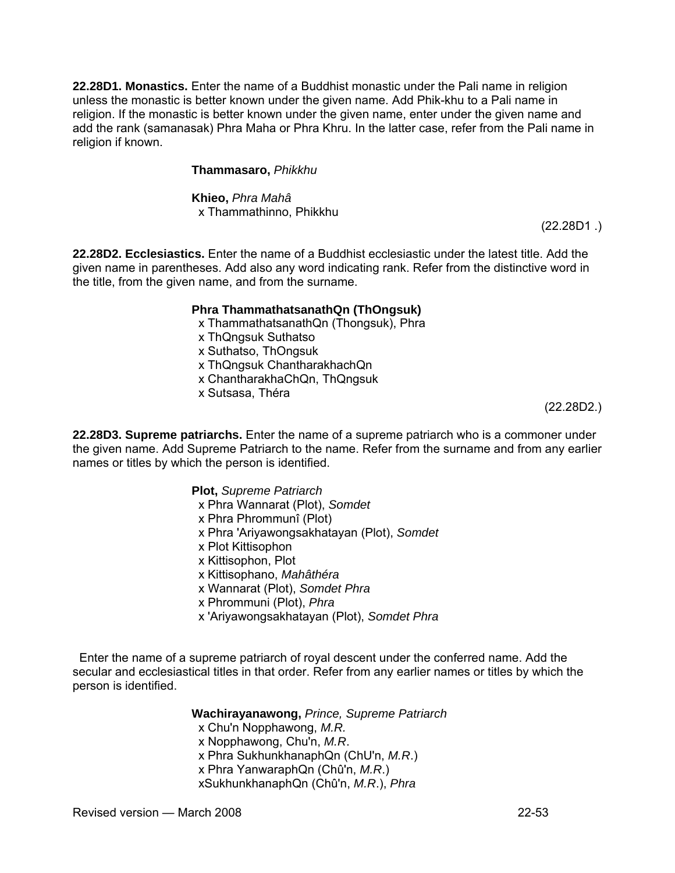**22.28D1. Monastics.** Enter the name of a Buddhist monastic under the Pali name in religion unless the monastic is better known under the given name. Add Phik-khu to a Pali name in religion. If the monastic is better known under the given name, enter under the given name and add the rank (samanasak) Phra Maha or Phra Khru. In the latter case, refer from the Pali name in religion if known.

#### **Thammasaro,** *Phikkhu*

**Khieo,** *Phra Mahâ*  x Thammathinno, Phikkhu

 $(22.28D1.)$ 

**22.28D2. Ecclesiastics.** Enter the name of a Buddhist ecclesiastic under the latest title. Add the given name in parentheses. Add also any word indicating rank. Refer from the distinctive word in the title, from the given name, and from the surname.

#### **Phra ThammathatsanathQn (ThOngsuk)**

- x ThammathatsanathQn (Thongsuk), Phra
- x ThQngsuk Suthatso
- x Suthatso, ThOngsuk
- x ThQngsuk ChantharakhachQn
- x ChantharakhaChQn, ThQngsuk
- x Sutsasa, Théra

(22.28D2.)

**22.28D3. Supreme patriarchs.** Enter the name of a supreme patriarch who is a commoner under the given name. Add Supreme Patriarch to the name. Refer from the surname and from any earlier names or titles by which the person is identified.

**Plot,** *Supreme Patriarch* 

- x Phra Wannarat (Plot), *Somdet*
- x Phra Phrommunî (Plot)
- x Phra 'Ariyawongsakhatayan (Plot), *Somdet*
- x Plot Kittisophon
- x Kittisophon, Plot
- x Kittisophano, *Mahâthéra*
- x Wannarat (Plot), *Somdet Phra*
- x Phrommuni (Plot), *Phra*
- x 'Ariyawongsakhatayan (Plot), *Somdet Phra*

 Enter the name of a supreme patriarch of royal descent under the conferred name. Add the secular and ecclesiastical titles in that order. Refer from any earlier names or titles by which the person is identified.

> **Wachirayanawong,** *Prince, Supreme Patriarch* x Chu'n Nopphawong, *M.R.*

- x Nopphawong, Chu'n, *M.R*.
- x Phra SukhunkhanaphQn (ChU'n, *M.R*.)
- x Phra YanwaraphQn (Chû'n, *M.R*.)
- xSukhunkhanaphQn (Chû'n, *M.R*.), *Phra*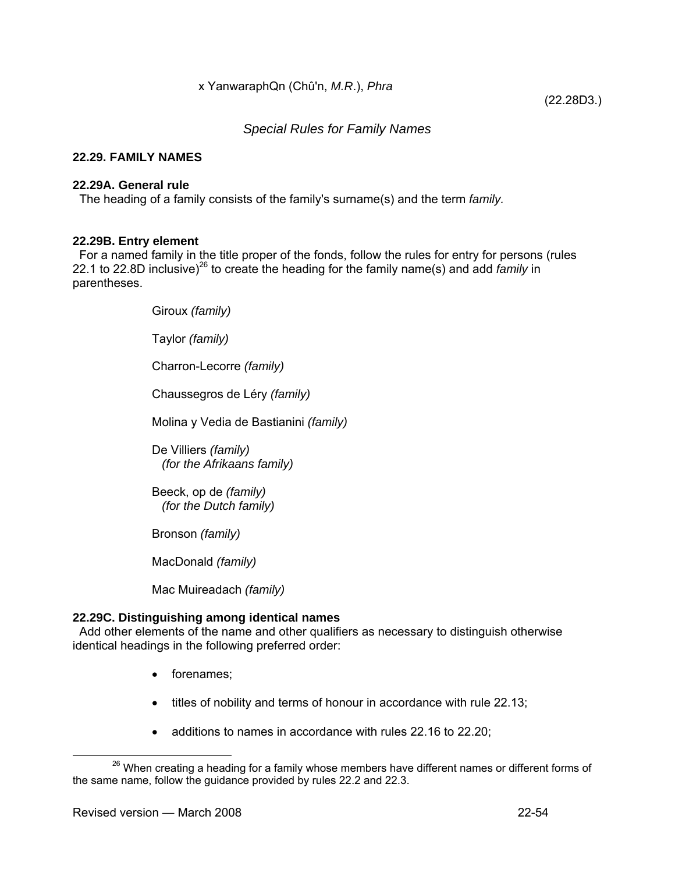(22.28D3.)

*Special Rules for Family Names* 

#### **22.29. FAMILY NAMES**

#### **22.29A. General rule**

The heading of a family consists of the family's surname(s) and the term *family.*

#### **22.29B. Entry element**

 For a named family in the title proper of the fonds, follow the rules for entry for persons (rules 22.1 to 22.8D inclusive)<sup>26</sup> to create the heading for the family name(s) and add *family* in parentheses.

Giroux *(family)*

Taylor *(family)* 

Charron-Lecorre *(family)*

Chaussegros de Léry *(family)* 

Molina y Vedia de Bastianini *(family)* 

De Villiers *(family) (for the Afrikaans family)* 

Beeck, op de *(family) (for the Dutch family)* 

Bronson *(family)* 

MacDonald *(family)* 

Mac Muireadach *(family)*

#### **22.29C. Distinguishing among identical names**

 Add other elements of the name and other qualifiers as necessary to distinguish otherwise identical headings in the following preferred order:

- forenames;
- titles of nobility and terms of honour in accordance with rule 22.13;
- additions to names in accordance with rules 22.16 to 22.20;

<sup>&</sup>lt;sup>26</sup> When creating a heading for a family whose members have different names or different forms of the same name, follow the guidance provided by rules 22.2 and 22.3.